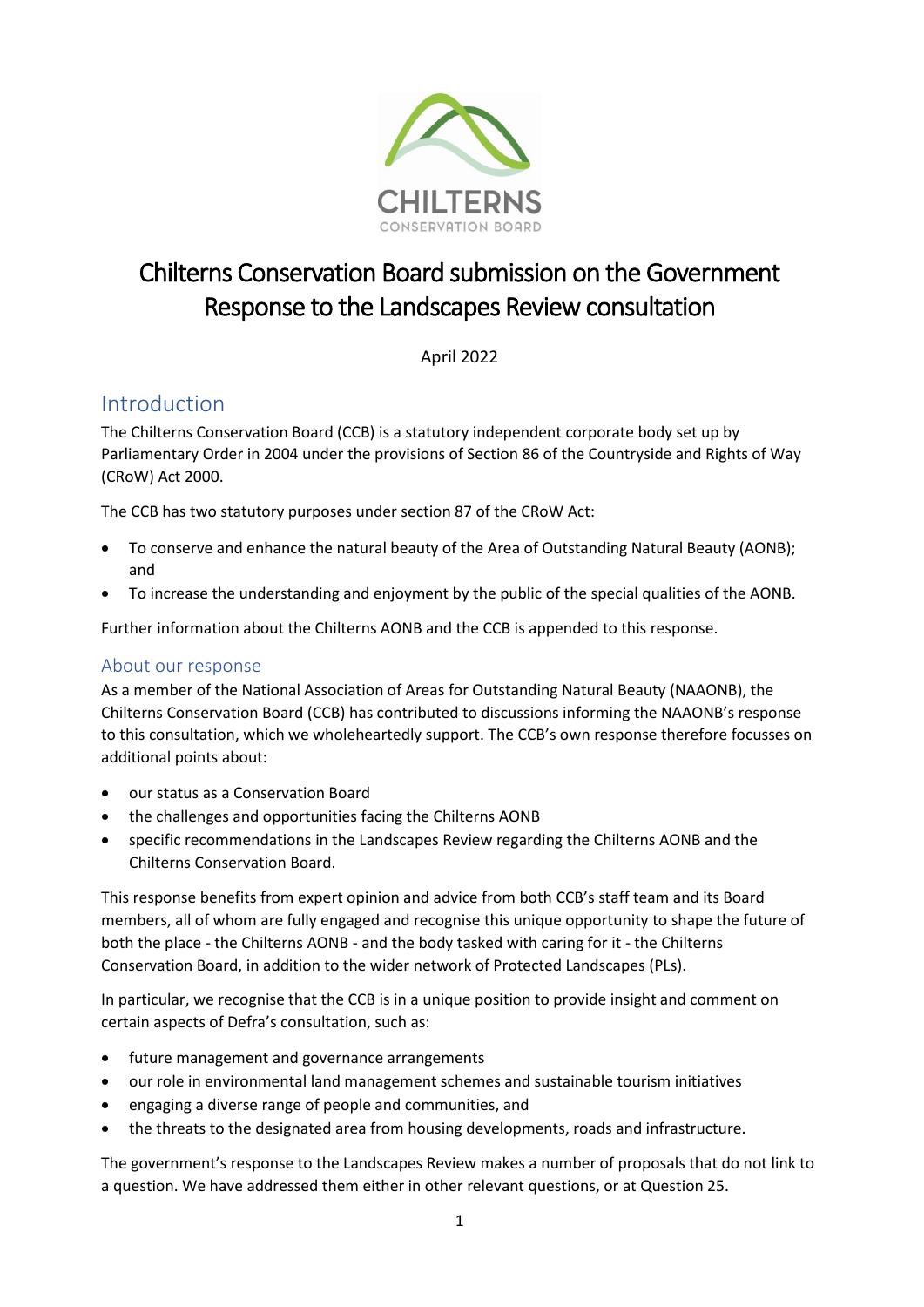

# Chilterns Conservation Board submission on the Government Response to the Landscapes Review consultation

April 2022

## Introduction

The Chilterns Conservation Board (CCB) is a statutory independent corporate body set up by Parliamentary Order in 2004 under the provisions of Section 86 of the Countryside and Rights of Way (CRoW) Act 2000.

The CCB has two statutory purposes under section 87 of the CRoW Act:

- To conserve and enhance the natural beauty of the Area of Outstanding Natural Beauty (AONB); and
- To increase the understanding and enjoyment by the public of the special qualities of the AONB.

Further information about the Chilterns AONB and the CCB is appended to this response.

## About our response

As a member of the National Association of Areas for Outstanding Natural Beauty (NAAONB), the Chilterns Conservation Board (CCB) has contributed to discussions informing the NAAONB's response to this consultation, which we wholeheartedly support. The CCB's own response therefore focusses on additional points about:

- our status as a Conservation Board
- the challenges and opportunities facing the Chilterns AONB
- specific recommendations in the Landscapes Review regarding the Chilterns AONB and the Chilterns Conservation Board.

This response benefits from expert opinion and advice from both CCB's staff team and its Board members, all of whom are fully engaged and recognise this unique opportunity to shape the future of both the place - the Chilterns AONB - and the body tasked with caring for it - the Chilterns Conservation Board, in addition to the wider network of Protected Landscapes (PLs).

In particular, we recognise that the CCB is in a unique position to provide insight and comment on certain aspects of Defra's consultation, such as:

- future management and governance arrangements
- our role in environmental land management schemes and sustainable tourism initiatives
- engaging a diverse range of people and communities, and
- the threats to the designated area from housing developments, roads and infrastructure.

The government's response to the Landscapes Review makes a number of proposals that do not link to a question. We have addressed them either in other relevant questions, or at Question 25.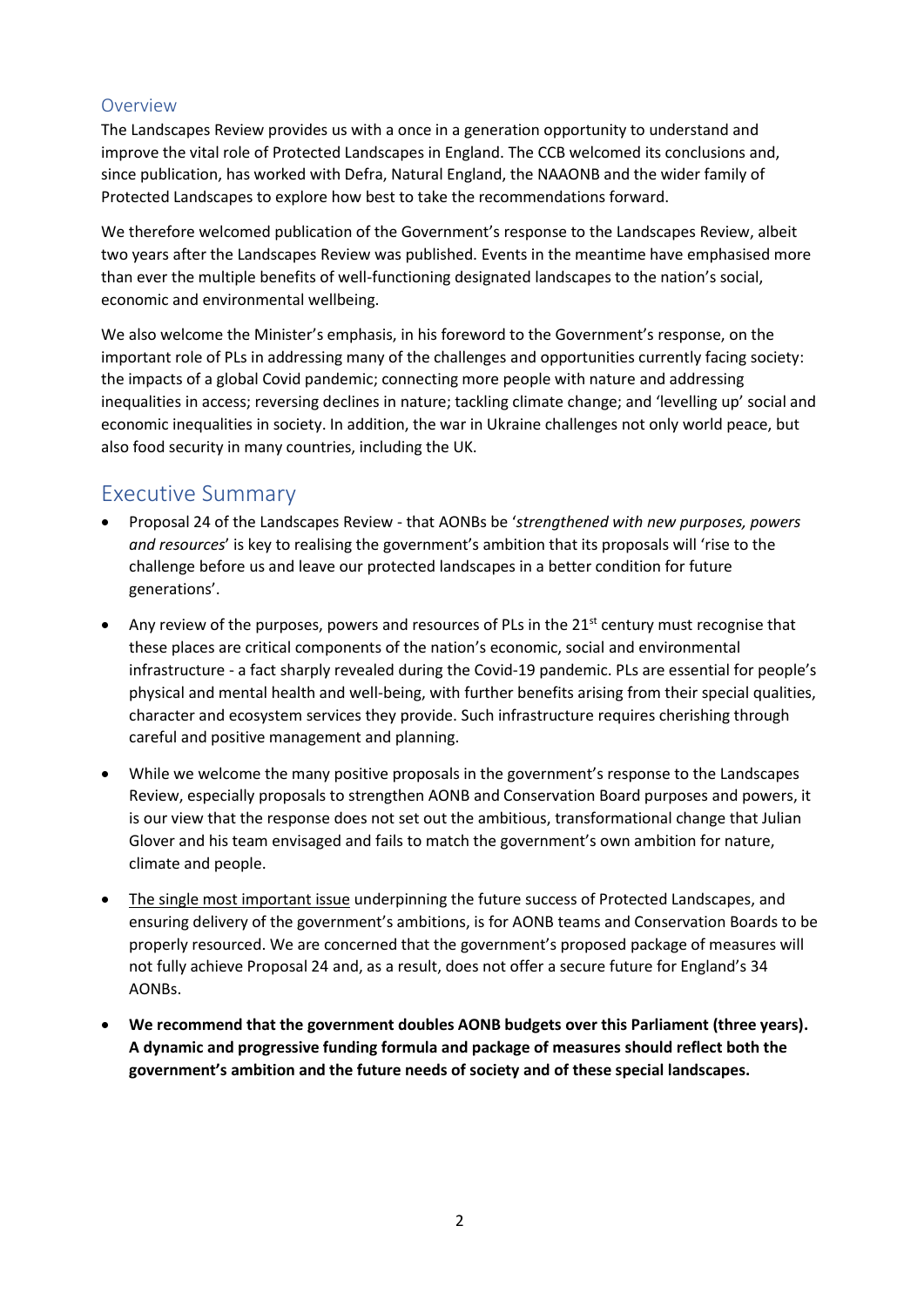## Overview

The Landscapes Review provides us with a once in a generation opportunity to understand and improve the vital role of Protected Landscapes in England. The CCB welcomed its conclusions and, since publication, has worked with Defra, Natural England, the NAAONB and the wider family of Protected Landscapes to explore how best to take the recommendations forward.

We therefore welcomed publication of the Government's response to the Landscapes Review, albeit two years after the Landscapes Review was published. Events in the meantime have emphasised more than ever the multiple benefits of well-functioning designated landscapes to the nation's social, economic and environmental wellbeing.

We also welcome the Minister's emphasis, in his foreword to the Government's response, on the important role of PLs in addressing many of the challenges and opportunities currently facing society: the impacts of a global Covid pandemic; connecting more people with nature and addressing inequalities in access; reversing declines in nature; tackling climate change; and 'levelling up' social and economic inequalities in society. In addition, the war in Ukraine challenges not only world peace, but also food security in many countries, including the UK.

## Executive Summary

- Proposal 24 of the Landscapes Review that AONBs be '*strengthened with new purposes, powers and resources*' is key to realising the government's ambition that its proposals will 'rise to the challenge before us and leave our protected landscapes in a better condition for future generations'.
- Any review of the purposes, powers and resources of PLs in the  $21<sup>st</sup>$  century must recognise that these places are critical components of the nation's economic, social and environmental infrastructure - a fact sharply revealed during the Covid-19 pandemic. PLs are essential for people's physical and mental health and well-being, with further benefits arising from their special qualities, character and ecosystem services they provide. Such infrastructure requires cherishing through careful and positive management and planning.
- While we welcome the many positive proposals in the government's response to the Landscapes Review, especially proposals to strengthen AONB and Conservation Board purposes and powers, it is our view that the response does not set out the ambitious, transformational change that Julian Glover and his team envisaged and fails to match the government's own ambition for nature, climate and people.
- The single most important issue underpinning the future success of Protected Landscapes, and ensuring delivery of the government's ambitions, is for AONB teams and Conservation Boards to be properly resourced. We are concerned that the government's proposed package of measures will not fully achieve Proposal 24 and, as a result, does not offer a secure future for England's 34 AONBs.
- **We recommend that the government doubles AONB budgets over this Parliament (three years). A dynamic and progressive funding formula and package of measures should reflect both the government's ambition and the future needs of society and of these special landscapes.**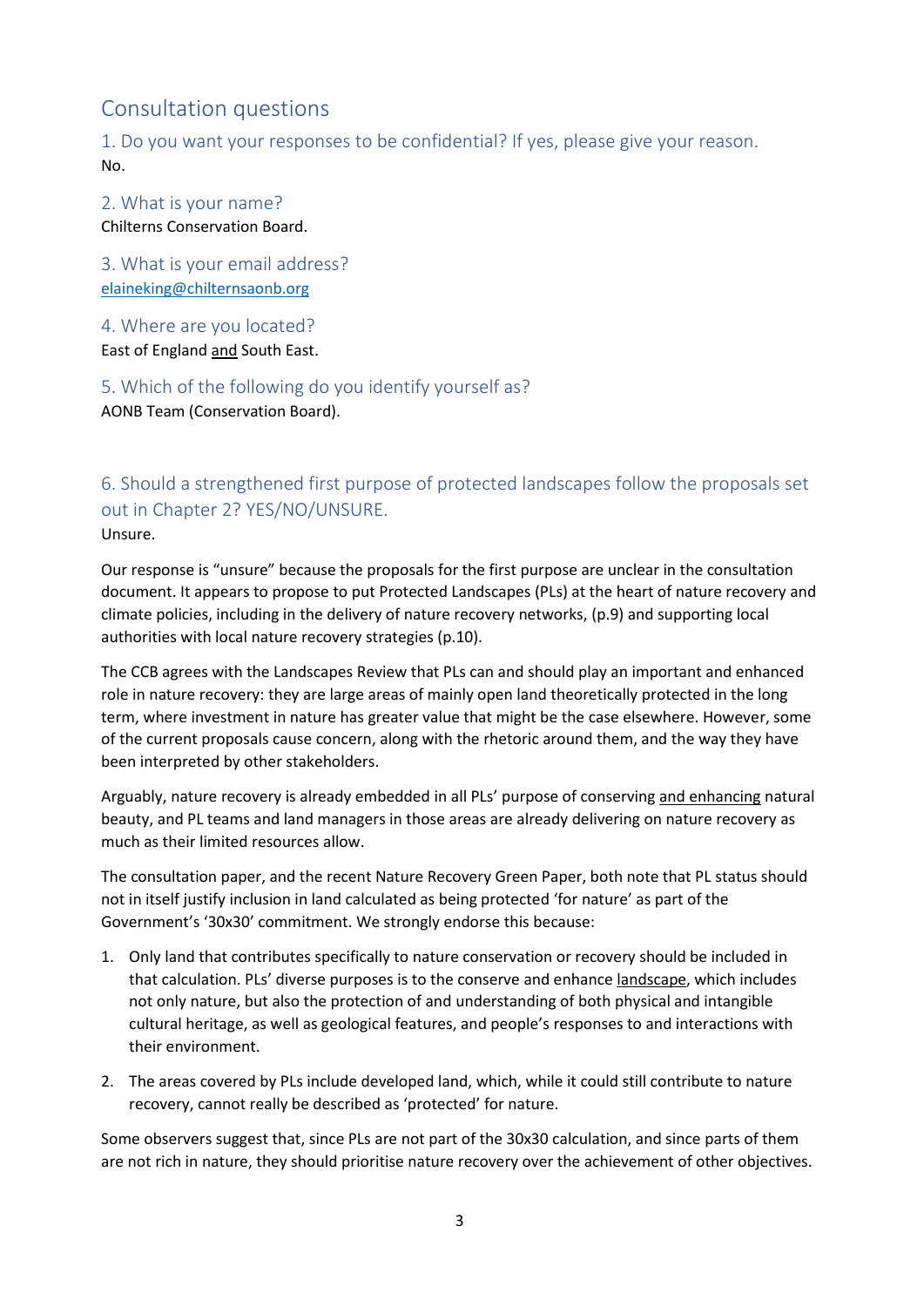## Consultation questions

1. Do you want your responses to be confidential? If yes, please give your reason. No.

2. What is your name? Chilterns Conservation Board.

3. What is your email address? [elaineking@chilternsaonb.org](mailto:elaineking@chilternsaonb.org)

4. Where are you located?

East of England and South East.

5. Which of the following do you identify yourself as? AONB Team (Conservation Board).

6. Should a strengthened first purpose of protected landscapes follow the proposals set out in Chapter 2? YES/NO/UNSURE. Unsure.

Our response is "unsure" because the proposals for the first purpose are unclear in the consultation document. It appears to propose to put Protected Landscapes (PLs) at the heart of nature recovery and climate policies, including in the delivery of nature recovery networks, (p.9) and supporting local authorities with local nature recovery strategies (p.10).

The CCB agrees with the Landscapes Review that PLs can and should play an important and enhanced role in nature recovery: they are large areas of mainly open land theoretically protected in the long term, where investment in nature has greater value that might be the case elsewhere. However, some of the current proposals cause concern, along with the rhetoric around them, and the way they have been interpreted by other stakeholders.

Arguably, nature recovery is already embedded in all PLs' purpose of conserving and enhancing natural beauty, and PL teams and land managers in those areas are already delivering on nature recovery as much as their limited resources allow.

The consultation paper, and the recent Nature Recovery Green Paper, both note that PL status should not in itself justify inclusion in land calculated as being protected 'for nature' as part of the Government's '30x30' commitment. We strongly endorse this because:

- 1. Only land that contributes specifically to nature conservation or recovery should be included in that calculation. PLs' diverse purposes is to the conserve and enhance landscape, which includes not only nature, but also the protection of and understanding of both physical and intangible cultural heritage, as well as geological features, and people's responses to and interactions with their environment.
- 2. The areas covered by PLs include developed land, which, while it could still contribute to nature recovery, cannot really be described as 'protected' for nature.

Some observers suggest that, since PLs are not part of the 30x30 calculation, and since parts of them are not rich in nature, they should prioritise nature recovery over the achievement of other objectives.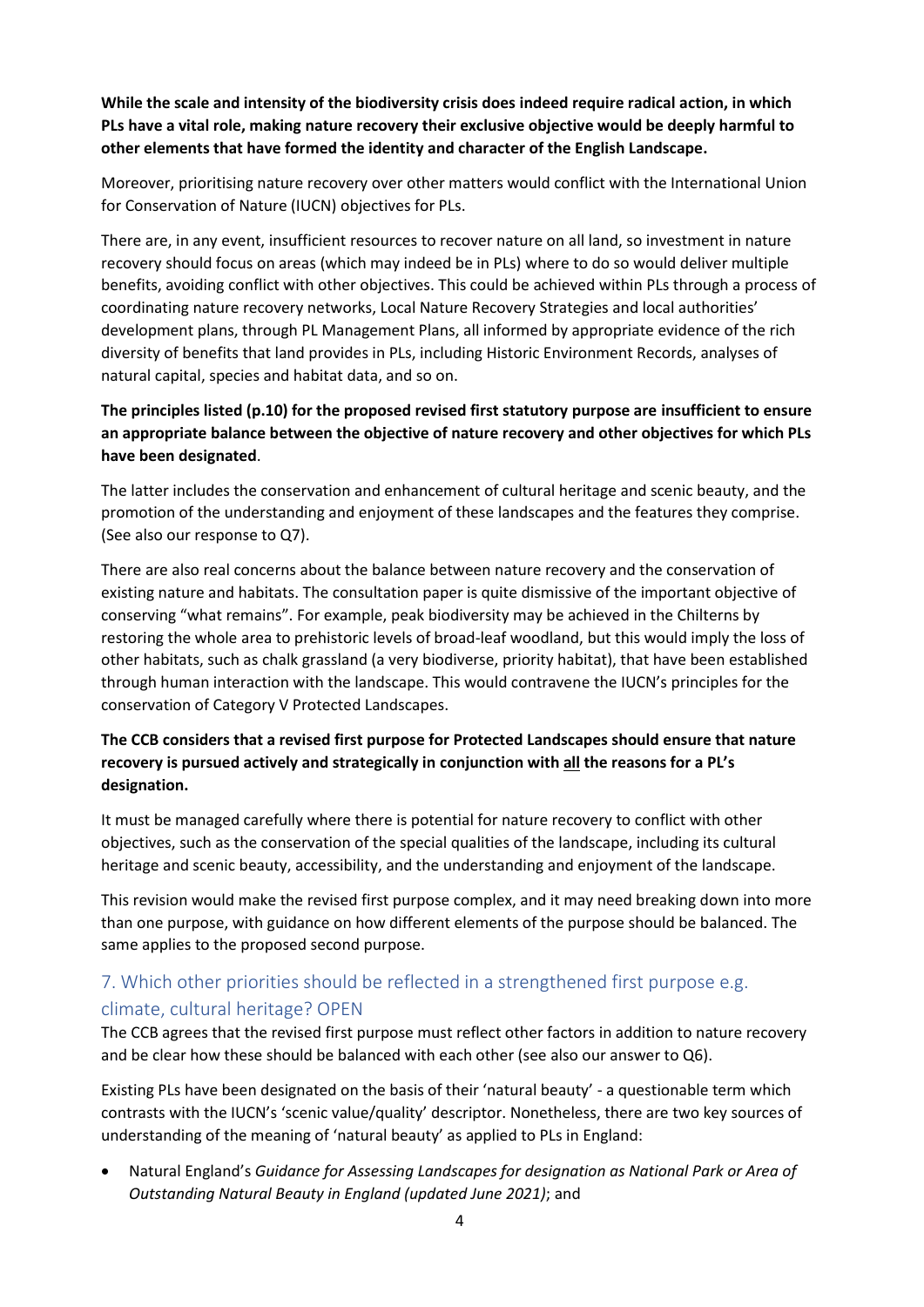**While the scale and intensity of the biodiversity crisis does indeed require radical action, in which PLs have a vital role, making nature recovery their exclusive objective would be deeply harmful to other elements that have formed the identity and character of the English Landscape.** 

Moreover, prioritising nature recovery over other matters would conflict with the International Union for Conservation of Nature (IUCN) objectives for PLs.

There are, in any event, insufficient resources to recover nature on all land, so investment in nature recovery should focus on areas (which may indeed be in PLs) where to do so would deliver multiple benefits, avoiding conflict with other objectives. This could be achieved within PLs through a process of coordinating nature recovery networks, Local Nature Recovery Strategies and local authorities' development plans, through PL Management Plans, all informed by appropriate evidence of the rich diversity of benefits that land provides in PLs, including Historic Environment Records, analyses of natural capital, species and habitat data, and so on.

## **The principles listed (p.10) for the proposed revised first statutory purpose are insufficient to ensure an appropriate balance between the objective of nature recovery and other objectives for which PLs have been designated**.

The latter includes the conservation and enhancement of cultural heritage and scenic beauty, and the promotion of the understanding and enjoyment of these landscapes and the features they comprise. (See also our response to Q7).

There are also real concerns about the balance between nature recovery and the conservation of existing nature and habitats. The consultation paper is quite dismissive of the important objective of conserving "what remains". For example, peak biodiversity may be achieved in the Chilterns by restoring the whole area to prehistoric levels of broad-leaf woodland, but this would imply the loss of other habitats, such as chalk grassland (a very biodiverse, priority habitat), that have been established through human interaction with the landscape. This would contravene the IUCN's principles for the conservation of Category V Protected Landscapes.

### **The CCB considers that a revised first purpose for Protected Landscapes should ensure that nature recovery is pursued actively and strategically in conjunction with all the reasons for a PL's designation.**

It must be managed carefully where there is potential for nature recovery to conflict with other objectives, such as the conservation of the special qualities of the landscape, including its cultural heritage and scenic beauty, accessibility, and the understanding and enjoyment of the landscape.

This revision would make the revised first purpose complex, and it may need breaking down into more than one purpose, with guidance on how different elements of the purpose should be balanced. The same applies to the proposed second purpose.

## 7. Which other priorities should be reflected in a strengthened first purpose e.g. climate, cultural heritage? OPEN

The CCB agrees that the revised first purpose must reflect other factors in addition to nature recovery and be clear how these should be balanced with each other (see also our answer to Q6).

Existing PLs have been designated on the basis of their 'natural beauty' - a questionable term which contrasts with the IUCN's 'scenic value/quality' descriptor. Nonetheless, there are two key sources of understanding of the meaning of 'natural beauty' as applied to PLs in England:

• Natural England's *Guidance for Assessing Landscapes for designation as National Park or Area of Outstanding Natural Beauty in England (updated June 2021)*; and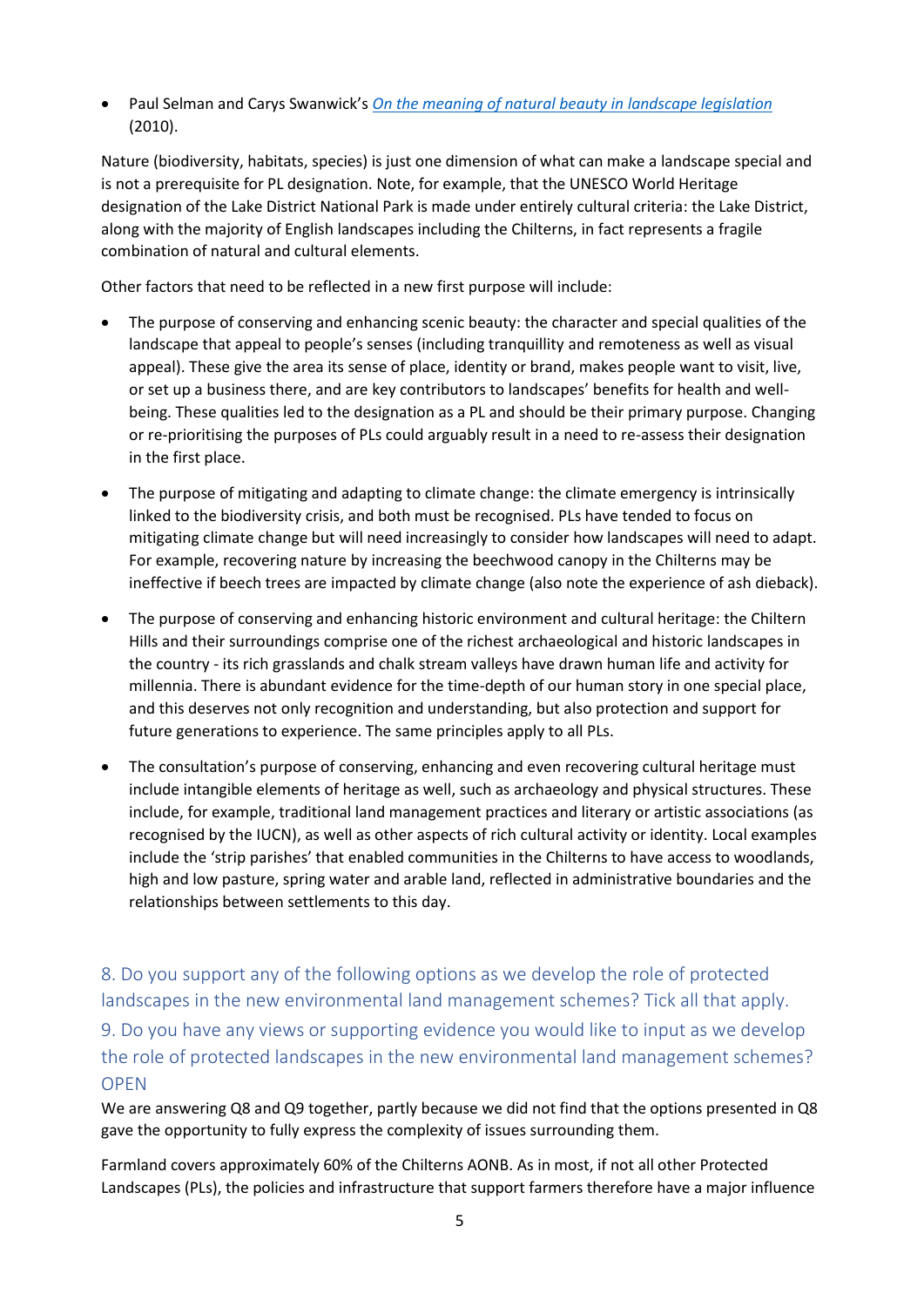• Paul Selman and Carys Swanwick's *[On the meaning of natural beauty in landscape legislation](https://landscapesforlife.org.uk/application/files/4515/8928/8643/Selman_-_On_The_Meaning_of_Natural_Beauty_2010.pdf)* (2010).

Nature (biodiversity, habitats, species) is just one dimension of what can make a landscape special and is not a prerequisite for PL designation. Note, for example, that the UNESCO World Heritage designation of the Lake District National Park is made under entirely cultural criteria: the Lake District, along with the majority of English landscapes including the Chilterns, in fact represents a fragile combination of natural and cultural elements.

Other factors that need to be reflected in a new first purpose will include:

- The purpose of conserving and enhancing scenic beauty: the character and special qualities of the landscape that appeal to people's senses (including tranquillity and remoteness as well as visual appeal). These give the area its sense of place, identity or brand, makes people want to visit, live, or set up a business there, and are key contributors to landscapes' benefits for health and wellbeing. These qualities led to the designation as a PL and should be their primary purpose. Changing or re-prioritising the purposes of PLs could arguably result in a need to re-assess their designation in the first place.
- The purpose of mitigating and adapting to climate change: the climate emergency is intrinsically linked to the biodiversity crisis, and both must be recognised. PLs have tended to focus on mitigating climate change but will need increasingly to consider how landscapes will need to adapt. For example, recovering nature by increasing the beechwood canopy in the Chilterns may be ineffective if beech trees are impacted by climate change (also note the experience of ash dieback).
- The purpose of conserving and enhancing historic environment and cultural heritage: the Chiltern Hills and their surroundings comprise one of the richest archaeological and historic landscapes in the country - its rich grasslands and chalk stream valleys have drawn human life and activity for millennia. There is abundant evidence for the time-depth of our human story in one special place, and this deserves not only recognition and understanding, but also protection and support for future generations to experience. The same principles apply to all PLs.
- The consultation's purpose of conserving, enhancing and even recovering cultural heritage must include intangible elements of heritage as well, such as archaeology and physical structures. These include, for example, traditional land management practices and literary or artistic associations (as recognised by the IUCN), as well as other aspects of rich cultural activity or identity. Local examples include the 'strip parishes' that enabled communities in the Chilterns to have access to woodlands, high and low pasture, spring water and arable land, reflected in administrative boundaries and the relationships between settlements to this day.

8. Do you support any of the following options as we develop the role of protected landscapes in the new environmental land management schemes? Tick all that apply.

9. Do you have any views or supporting evidence you would like to input as we develop the role of protected landscapes in the new environmental land management schemes? **OPEN** 

We are answering Q8 and Q9 together, partly because we did not find that the options presented in Q8 gave the opportunity to fully express the complexity of issues surrounding them.

Farmland covers approximately 60% of the Chilterns AONB. As in most, if not all other Protected Landscapes (PLs), the policies and infrastructure that support farmers therefore have a major influence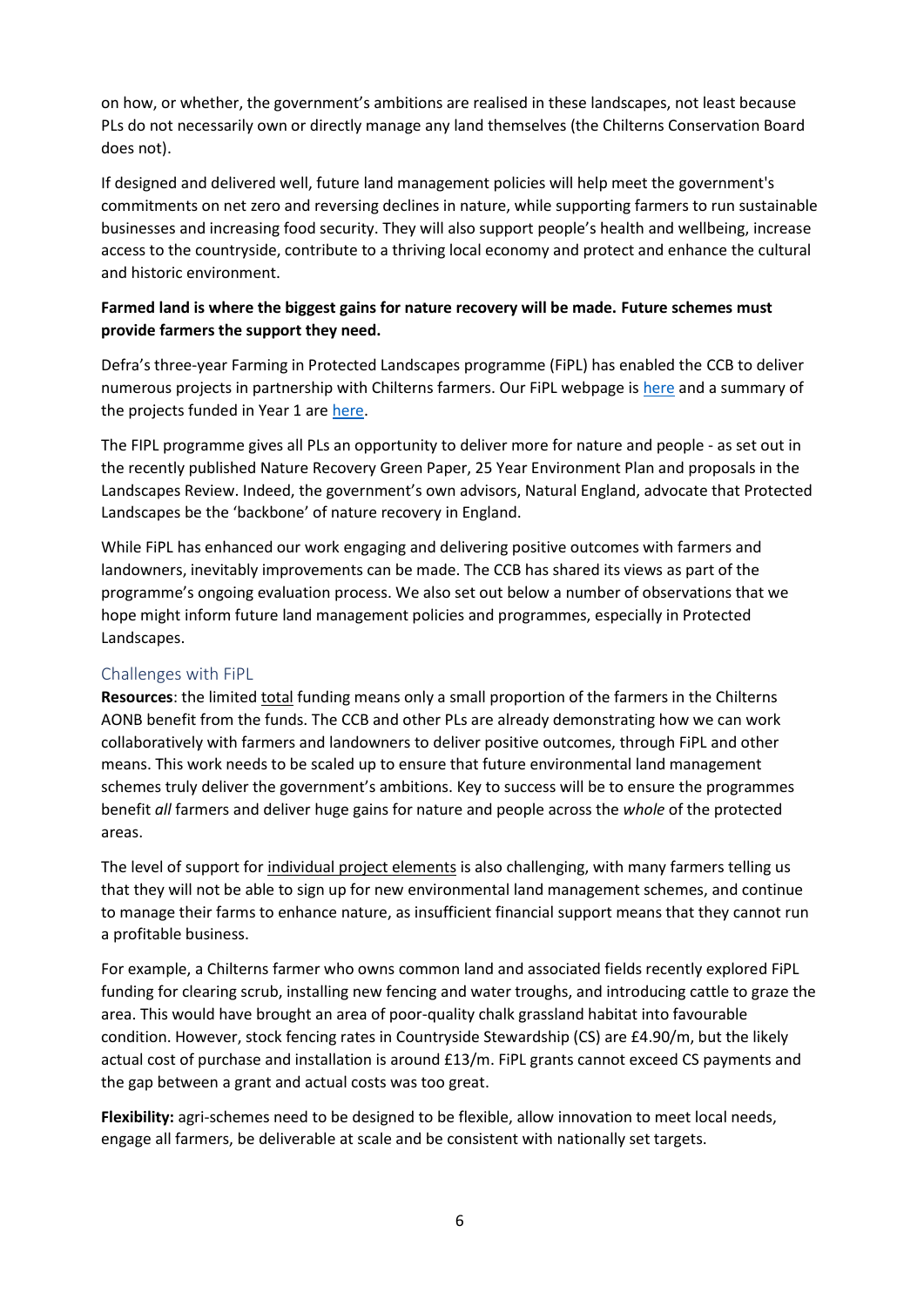on how, or whether, the government's ambitions are realised in these landscapes, not least because PLs do not necessarily own or directly manage any land themselves (the Chilterns Conservation Board does not).

If designed and delivered well, future land management policies will help meet the government's commitments on net zero and reversing declines in nature, while supporting farmers to run sustainable businesses and increasing food security. They will also support people's health and wellbeing, increase access to the countryside, contribute to a thriving local economy and protect and enhance the cultural and historic environment.

### **Farmed land is where the biggest gains for nature recovery will be made. Future schemes must provide farmers the support they need.**

Defra's three-year Farming in Protected Landscapes programme (FiPL) has enabled the CCB to deliver numerous projects in partnership with Chilterns farmers. Our FiPL webpage is [here](https://www.chilternsaonb.org/projects/farming-in-protected-landscapes) and a summary of the projects funded in Year 1 are [here.](https://www.chilternsaonb.org/uploads/FiPL/Chilterns%20Conservation%20Board%20-%20Farming%20in%20Protected%20Landscapes%20Programme%20Year%201%20approved%20projects.pdf)

The FIPL programme gives all PLs an opportunity to deliver more for nature and people - as set out in the recently published Nature Recovery Green Paper, 25 Year Environment Plan and proposals in the Landscapes Review. Indeed, the government's own advisors, Natural England, advocate that Protected Landscapes be the 'backbone' of nature recovery in England.

While FiPL has enhanced our work engaging and delivering positive outcomes with farmers and landowners, inevitably improvements can be made. The CCB has shared its views as part of the programme's ongoing evaluation process. We also set out below a number of observations that we hope might inform future land management policies and programmes, especially in Protected Landscapes.

#### Challenges with FiPL

**Resources**: the limited total funding means only a small proportion of the farmers in the Chilterns AONB benefit from the funds. The CCB and other PLs are already demonstrating how we can work collaboratively with farmers and landowners to deliver positive outcomes, through FiPL and other means. This work needs to be scaled up to ensure that future environmental land management schemes truly deliver the government's ambitions. Key to success will be to ensure the programmes benefit *all* farmers and deliver huge gains for nature and people across the *whole* of the protected areas.

The level of support for individual project elements is also challenging, with many farmers telling us that they will not be able to sign up for new environmental land management schemes, and continue to manage their farms to enhance nature, as insufficient financial support means that they cannot run a profitable business.

For example, a Chilterns farmer who owns common land and associated fields recently explored FiPL funding for clearing scrub, installing new fencing and water troughs, and introducing cattle to graze the area. This would have brought an area of poor-quality chalk grassland habitat into favourable condition. However, stock fencing rates in Countryside Stewardship (CS) are £4.90/m, but the likely actual cost of purchase and installation is around £13/m. FiPL grants cannot exceed CS payments and the gap between a grant and actual costs was too great.

**Flexibility:** agri-schemes need to be designed to be flexible, allow innovation to meet local needs, engage all farmers, be deliverable at scale and be consistent with nationally set targets.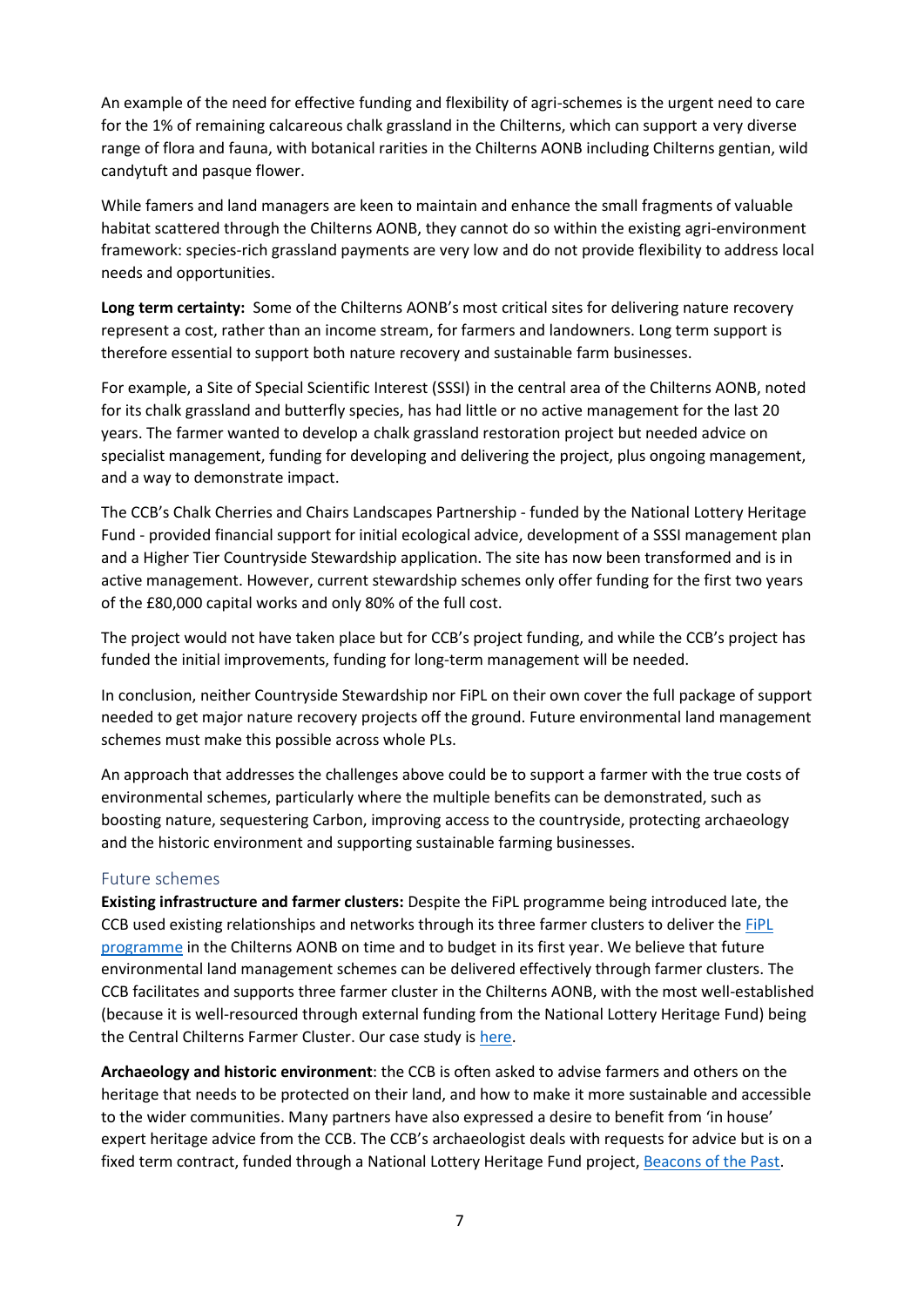An example of the need for effective funding and flexibility of agri-schemes is the urgent need to care for the 1% of remaining calcareous chalk grassland in the Chilterns, which can support a very diverse range of flora and fauna, with botanical rarities in the Chilterns AONB including Chilterns gentian, wild candytuft and pasque flower.

While famers and land managers are keen to maintain and enhance the small fragments of valuable habitat scattered through the Chilterns AONB, they cannot do so within the existing agri-environment framework: species-rich grassland payments are very low and do not provide flexibility to address local needs and opportunities.

**Long term certainty:** Some of the Chilterns AONB's most critical sites for delivering nature recovery represent a cost, rather than an income stream, for farmers and landowners. Long term support is therefore essential to support both nature recovery and sustainable farm businesses.

For example, a Site of Special Scientific Interest (SSSI) in the central area of the Chilterns AONB, noted for its chalk grassland and butterfly species, has had little or no active management for the last 20 years. The farmer wanted to develop a chalk grassland restoration project but needed advice on specialist management, funding for developing and delivering the project, plus ongoing management, and a way to demonstrate impact.

The CCB's Chalk Cherries and Chairs Landscapes Partnership - funded by the National Lottery Heritage Fund - provided financial support for initial ecological advice, development of a SSSI management plan and a Higher Tier Countryside Stewardship application. The site has now been transformed and is in active management. However, current stewardship schemes only offer funding for the first two years of the £80,000 capital works and only 80% of the full cost.

The project would not have taken place but for CCB's project funding, and while the CCB's project has funded the initial improvements, funding for long-term management will be needed.

In conclusion, neither Countryside Stewardship nor FiPL on their own cover the full package of support needed to get major nature recovery projects off the ground. Future environmental land management schemes must make this possible across whole PLs.

An approach that addresses the challenges above could be to support a farmer with the true costs of environmental schemes, particularly where the multiple benefits can be demonstrated, such as boosting nature, sequestering Carbon, improving access to the countryside, protecting archaeology and the historic environment and supporting sustainable farming businesses.

#### Future schemes

**Existing infrastructure and farmer clusters:** Despite the FiPL programme being introduced late, the CCB used existing relationships and networks through its three farmer clusters to deliver the FiPL [programme](https://www.chilternsaonb.org/projects/farming-in-protected-landscapes.html) in the Chilterns AONB on time and to budget in its first year. We believe that future environmental land management schemes can be delivered effectively through farmer clusters. The CCB facilitates and supports three farmer cluster in the Chilterns AONB, with the most well-established (because it is well-resourced through external funding from the National Lottery Heritage Fund) being the Central Chilterns Farmer Cluster. Our case study is [here.](https://www.chilternsaonb.org/uploads/FarmerCluster/Farmers_leading_the_way_for_natures_recovery_in_the_chilterns.pdf)

**Archaeology and historic environment**: the CCB is often asked to advise farmers and others on the heritage that needs to be protected on their land, and how to make it more sustainable and accessible to the wider communities. Many partners have also expressed a desire to benefit from 'in house' expert heritage advice from the CCB. The CCB's archaeologist deals with requests for advice but is on a fixed term contract, funded through a National Lottery Heritage Fund project[, Beacons of the Past.](https://www.chilternsaonb.org/projects/beacons-of-the-past.html)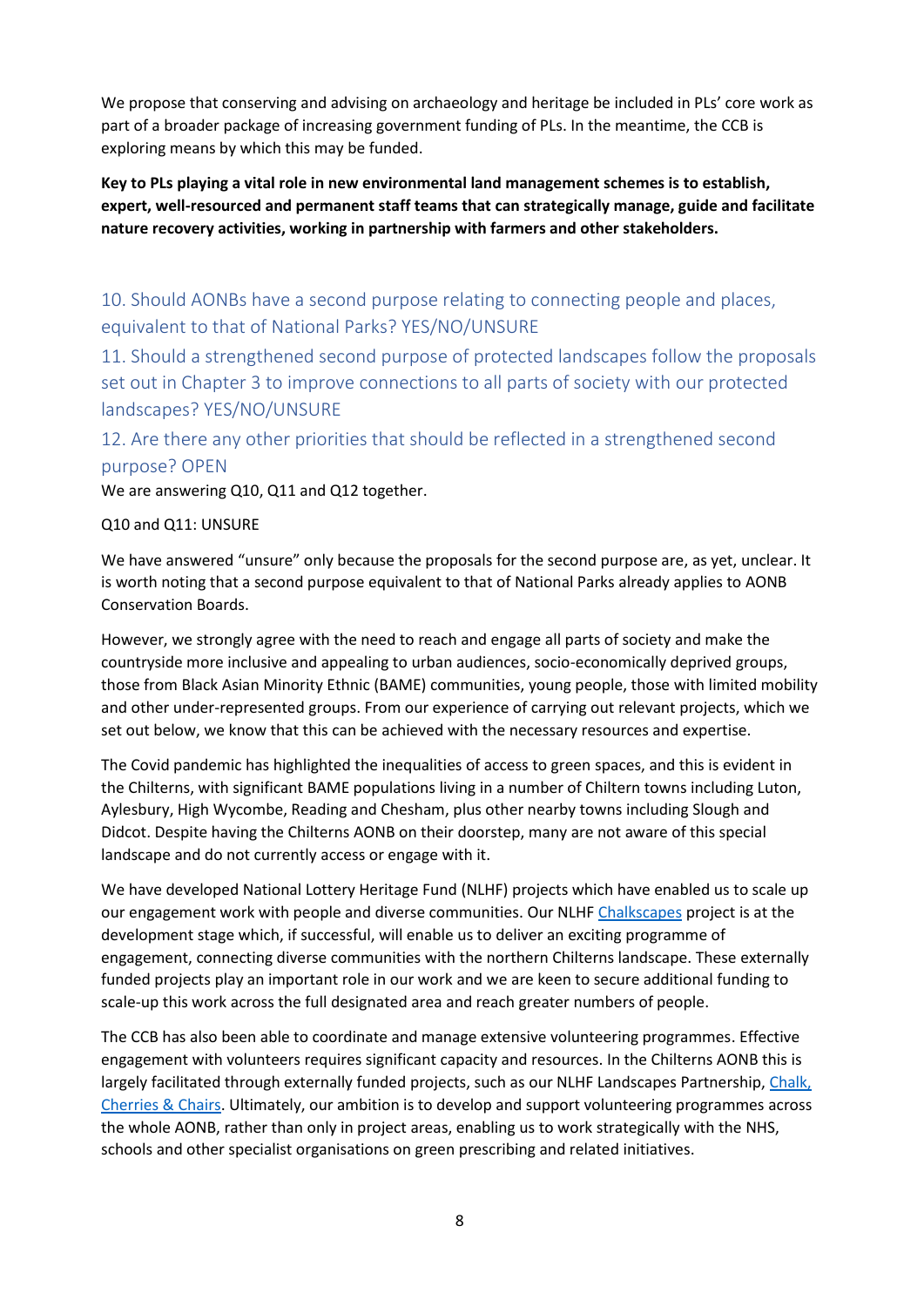We propose that conserving and advising on archaeology and heritage be included in PLs' core work as part of a broader package of increasing government funding of PLs. In the meantime, the CCB is exploring means by which this may be funded.

**Key to PLs playing a vital role in new environmental land management schemes is to establish, expert, well-resourced and permanent staff teams that can strategically manage, guide and facilitate nature recovery activities, working in partnership with farmers and other stakeholders.** 

10. Should AONBs have a second purpose relating to connecting people and places, equivalent to that of National Parks? YES/NO/UNSURE

11. Should a strengthened second purpose of protected landscapes follow the proposals set out in Chapter 3 to improve connections to all parts of society with our protected landscapes? YES/NO/UNSURE

## 12. Are there any other priorities that should be reflected in a strengthened second purpose? OPEN

We are answering Q10, Q11 and Q12 together.

#### Q10 and Q11: UNSURE

We have answered "unsure" only because the proposals for the second purpose are, as yet, unclear. It is worth noting that a second purpose equivalent to that of National Parks already applies to AONB Conservation Boards.

However, we strongly agree with the need to reach and engage all parts of society and make the countryside more inclusive and appealing to urban audiences, socio-economically deprived groups, those from Black Asian Minority Ethnic (BAME) communities, young people, those with limited mobility and other under-represented groups. From our experience of carrying out relevant projects, which we set out below, we know that this can be achieved with the necessary resources and expertise.

The Covid pandemic has highlighted the inequalities of access to green spaces, and this is evident in the Chilterns, with significant BAME populations living in a number of Chiltern towns including Luton, Aylesbury, High Wycombe, Reading and Chesham, plus other nearby towns including Slough and Didcot. Despite having the Chilterns AONB on their doorstep, many are not aware of this special landscape and do not currently access or engage with it.

We have developed National Lottery Heritage Fund (NLHF) projects which have enabled us to scale up our engagement work with people and diverse communities. Our NLHF [Chalkscapes](https://www.chilternsaonb.org/projects/chalkscapes-2.html) project is at the development stage which, if successful, will enable us to deliver an exciting programme of engagement, connecting diverse communities with the northern Chilterns landscape. These externally funded projects play an important role in our work and we are keen to secure additional funding to scale-up this work across the full designated area and reach greater numbers of people.

The CCB has also been able to coordinate and manage extensive volunteering programmes. Effective engagement with volunteers requires significant capacity and resources. In the Chilterns AONB this is largely facilitated through externally funded projects, such as our NLHF Landscapes Partnership[, Chalk,](https://www.chilternsaonb.org/projects/CCC.html)  [Cherries &](https://www.chilternsaonb.org/projects/CCC.html) Chairs. Ultimately, our ambition is to develop and support volunteering programmes across the whole AONB, rather than only in project areas, enabling us to work strategically with the NHS, schools and other specialist organisations on green prescribing and related initiatives.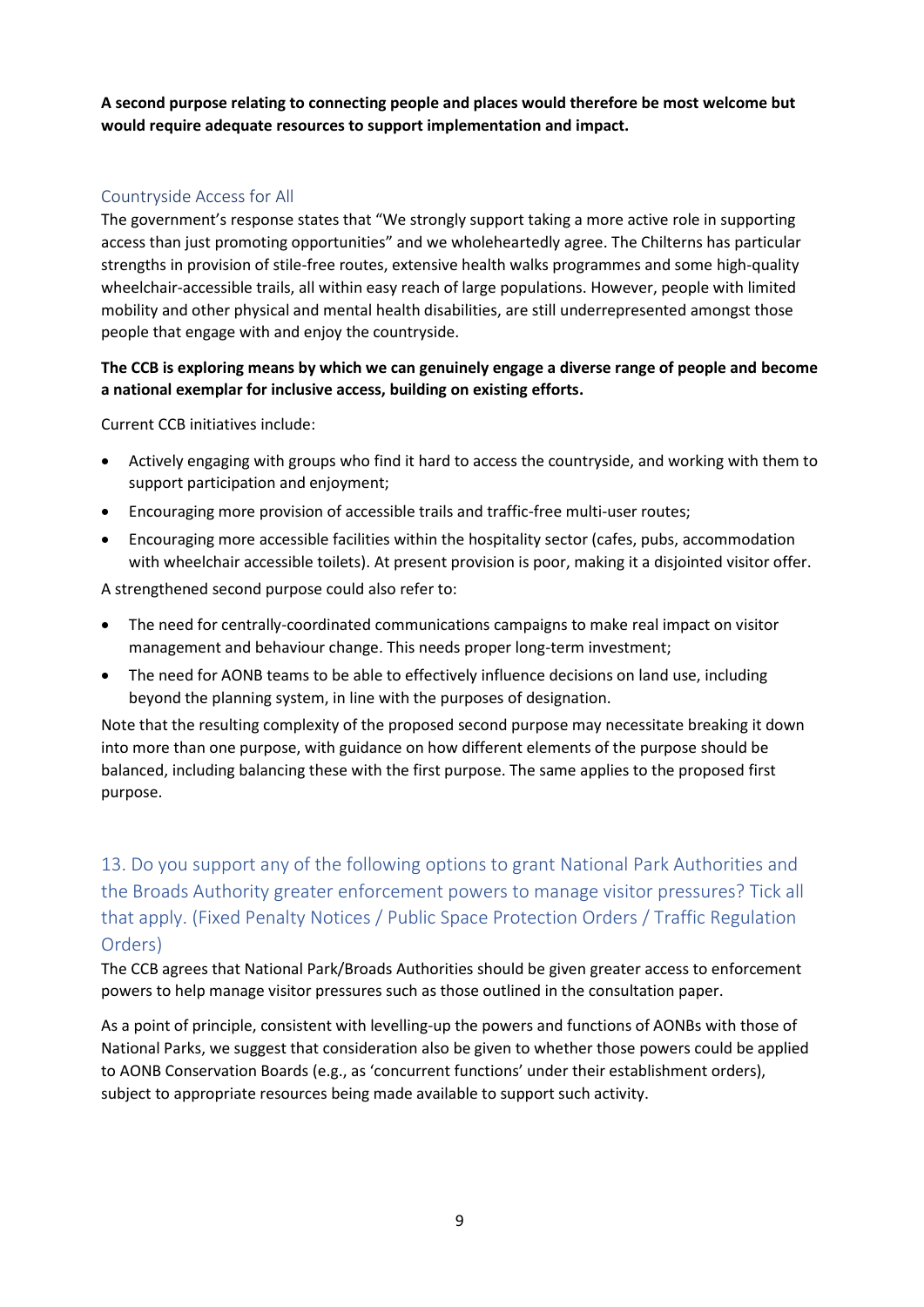**A second purpose relating to connecting people and places would therefore be most welcome but would require adequate resources to support implementation and impact.**

### Countryside Access for All

The government's response states that "We strongly support taking a more active role in supporting access than just promoting opportunities" and we wholeheartedly agree. The Chilterns has particular strengths in provision of stile-free routes, extensive health walks programmes and some high-quality wheelchair-accessible trails, all within easy reach of large populations. However, people with limited mobility and other physical and mental health disabilities, are still underrepresented amongst those people that engage with and enjoy the countryside.

### **The CCB is exploring means by which we can genuinely engage a diverse range of people and become a national exemplar for inclusive access, building on existing efforts.**

Current CCB initiatives include:

- Actively engaging with groups who find it hard to access the countryside, and working with them to support participation and enjoyment;
- Encouraging more provision of accessible trails and traffic-free multi-user routes;
- Encouraging more accessible facilities within the hospitality sector (cafes, pubs, accommodation with wheelchair accessible toilets). At present provision is poor, making it a disjointed visitor offer.

A strengthened second purpose could also refer to:

- The need for centrally-coordinated communications campaigns to make real impact on visitor management and behaviour change. This needs proper long-term investment;
- The need for AONB teams to be able to effectively influence decisions on land use, including beyond the planning system, in line with the purposes of designation.

Note that the resulting complexity of the proposed second purpose may necessitate breaking it down into more than one purpose, with guidance on how different elements of the purpose should be balanced, including balancing these with the first purpose. The same applies to the proposed first purpose.

## 13. Do you support any of the following options to grant National Park Authorities and the Broads Authority greater enforcement powers to manage visitor pressures? Tick all that apply. (Fixed Penalty Notices / Public Space Protection Orders / Traffic Regulation Orders)

The CCB agrees that National Park/Broads Authorities should be given greater access to enforcement powers to help manage visitor pressures such as those outlined in the consultation paper.

As a point of principle, consistent with levelling-up the powers and functions of AONBs with those of National Parks, we suggest that consideration also be given to whether those powers could be applied to AONB Conservation Boards (e.g., as 'concurrent functions' under their establishment orders), subject to appropriate resources being made available to support such activity.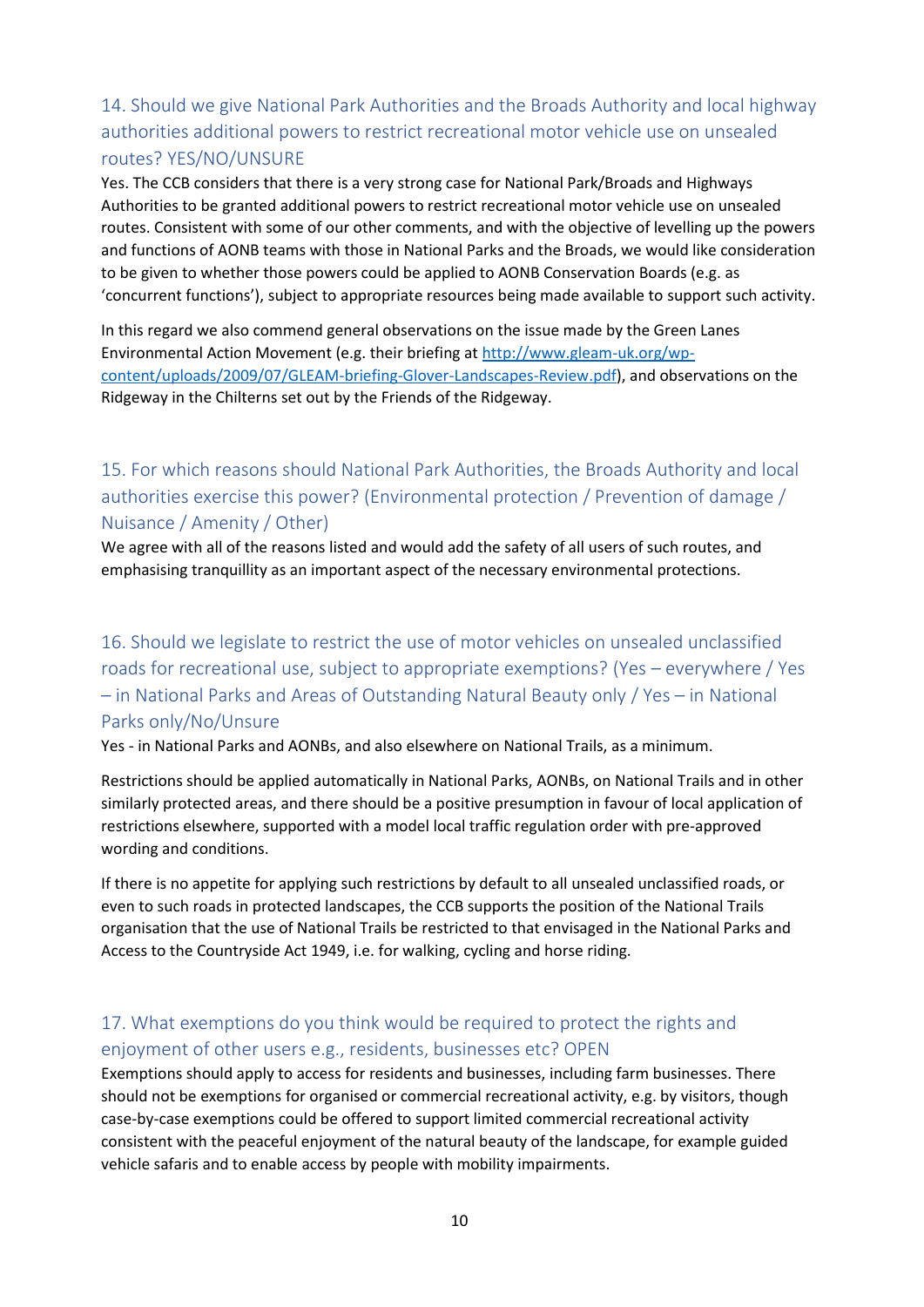## 14. Should we give National Park Authorities and the Broads Authority and local highway authorities additional powers to restrict recreational motor vehicle use on unsealed routes? YES/NO/UNSURE

Yes. The CCB considers that there is a very strong case for National Park/Broads and Highways Authorities to be granted additional powers to restrict recreational motor vehicle use on unsealed routes. Consistent with some of our other comments, and with the objective of levelling up the powers and functions of AONB teams with those in National Parks and the Broads, we would like consideration to be given to whether those powers could be applied to AONB Conservation Boards (e.g. as 'concurrent functions'), subject to appropriate resources being made available to support such activity.

In this regard we also commend general observations on the issue made by the Green Lanes Environmental Action Movement (e.g. their briefing a[t http://www.gleam-uk.org/wp](http://www.gleam-uk.org/wp-content/uploads/2009/07/GLEAM-briefing-Glover-Landscapes-Review.pdf)[content/uploads/2009/07/GLEAM-briefing-Glover-Landscapes-Review.pdf\)](http://www.gleam-uk.org/wp-content/uploads/2009/07/GLEAM-briefing-Glover-Landscapes-Review.pdf), and observations on the Ridgeway in the Chilterns set out by the Friends of the Ridgeway.

15. For which reasons should National Park Authorities, the Broads Authority and local authorities exercise this power? (Environmental protection / Prevention of damage / Nuisance / Amenity / Other)

We agree with all of the reasons listed and would add the safety of all users of such routes, and emphasising tranquillity as an important aspect of the necessary environmental protections.

16. Should we legislate to restrict the use of motor vehicles on unsealed unclassified roads for recreational use, subject to appropriate exemptions? (Yes – everywhere / Yes – in National Parks and Areas of Outstanding Natural Beauty only / Yes – in National Parks only/No/Unsure

Yes - in National Parks and AONBs, and also elsewhere on National Trails, as a minimum.

Restrictions should be applied automatically in National Parks, AONBs, on National Trails and in other similarly protected areas, and there should be a positive presumption in favour of local application of restrictions elsewhere, supported with a model local traffic regulation order with pre-approved wording and conditions.

If there is no appetite for applying such restrictions by default to all unsealed unclassified roads, or even to such roads in protected landscapes, the CCB supports the position of the National Trails organisation that the use of National Trails be restricted to that envisaged in the National Parks and Access to the Countryside Act 1949, i.e. for walking, cycling and horse riding.

## 17. What exemptions do you think would be required to protect the rights and enjoyment of other users e.g., residents, businesses etc? OPEN

Exemptions should apply to access for residents and businesses, including farm businesses. There should not be exemptions for organised or commercial recreational activity, e.g. by visitors, though case-by-case exemptions could be offered to support limited commercial recreational activity consistent with the peaceful enjoyment of the natural beauty of the landscape, for example guided vehicle safaris and to enable access by people with mobility impairments.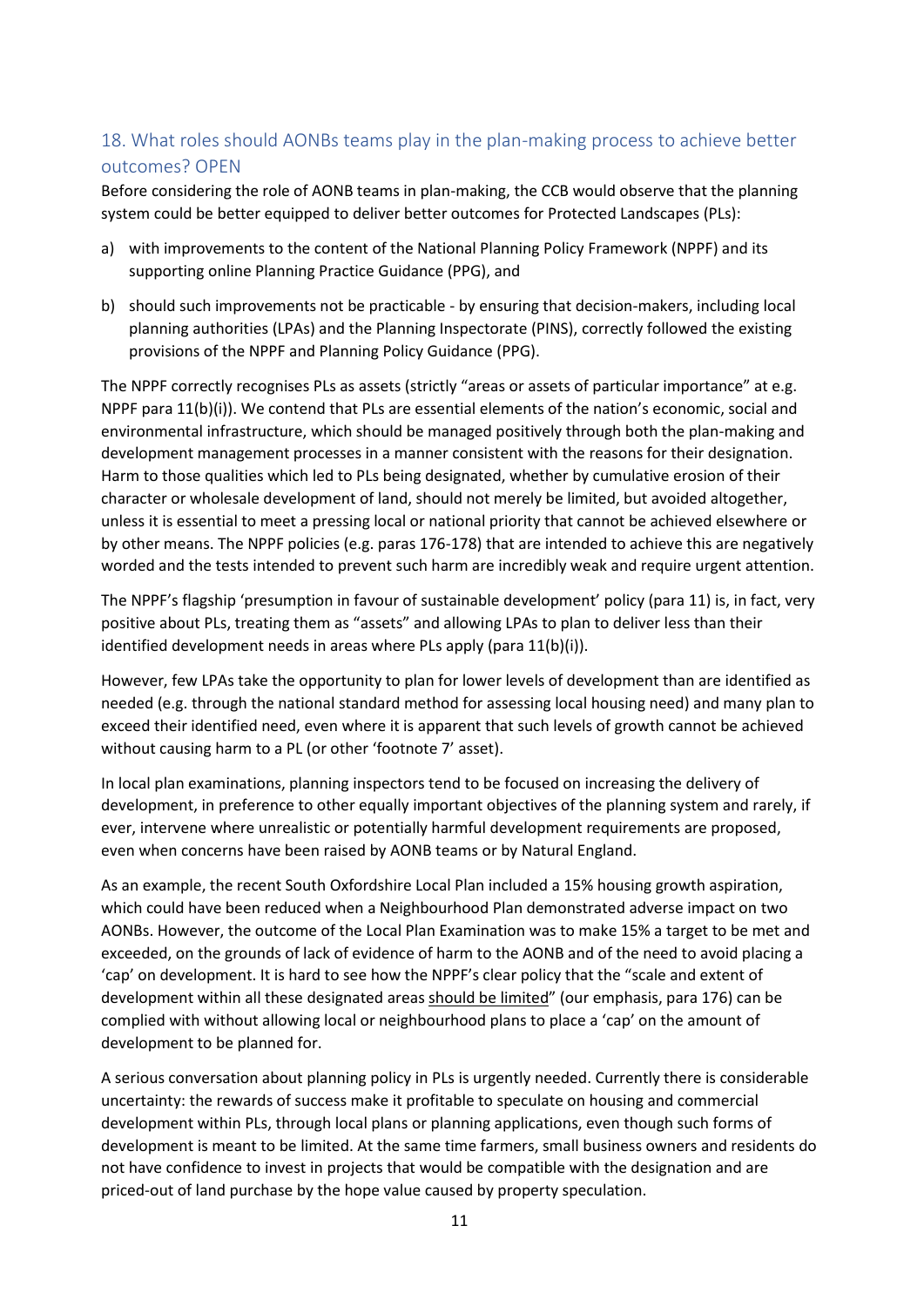## 18. What roles should AONBs teams play in the plan-making process to achieve better outcomes? OPEN

Before considering the role of AONB teams in plan-making, the CCB would observe that the planning system could be better equipped to deliver better outcomes for Protected Landscapes (PLs):

- a) with improvements to the content of the National Planning Policy Framework (NPPF) and its supporting online Planning Practice Guidance (PPG), and
- b) should such improvements not be practicable by ensuring that decision-makers, including local planning authorities (LPAs) and the Planning Inspectorate (PINS), correctly followed the existing provisions of the NPPF and Planning Policy Guidance (PPG).

The NPPF correctly recognises PLs as assets (strictly "areas or assets of particular importance" at e.g. NPPF para 11(b)(i)). We contend that PLs are essential elements of the nation's economic, social and environmental infrastructure, which should be managed positively through both the plan-making and development management processes in a manner consistent with the reasons for their designation. Harm to those qualities which led to PLs being designated, whether by cumulative erosion of their character or wholesale development of land, should not merely be limited, but avoided altogether, unless it is essential to meet a pressing local or national priority that cannot be achieved elsewhere or by other means. The NPPF policies (e.g. paras 176-178) that are intended to achieve this are negatively worded and the tests intended to prevent such harm are incredibly weak and require urgent attention.

The NPPF's flagship 'presumption in favour of sustainable development' policy (para 11) is, in fact, very positive about PLs, treating them as "assets" and allowing LPAs to plan to deliver less than their identified development needs in areas where PLs apply (para 11(b)(i)).

However, few LPAs take the opportunity to plan for lower levels of development than are identified as needed (e.g. through the national standard method for assessing local housing need) and many plan to exceed their identified need, even where it is apparent that such levels of growth cannot be achieved without causing harm to a PL (or other 'footnote 7' asset).

In local plan examinations, planning inspectors tend to be focused on increasing the delivery of development, in preference to other equally important objectives of the planning system and rarely, if ever, intervene where unrealistic or potentially harmful development requirements are proposed, even when concerns have been raised by AONB teams or by Natural England.

As an example, the recent South Oxfordshire Local Plan included a 15% housing growth aspiration, which could have been reduced when a Neighbourhood Plan demonstrated adverse impact on two AONBs. However, the outcome of the Local Plan Examination was to make 15% a target to be met and exceeded, on the grounds of lack of evidence of harm to the AONB and of the need to avoid placing a 'cap' on development. It is hard to see how the NPPF's clear policy that the "scale and extent of development within all these designated areas should be limited" (our emphasis, para 176) can be complied with without allowing local or neighbourhood plans to place a 'cap' on the amount of development to be planned for.

A serious conversation about planning policy in PLs is urgently needed. Currently there is considerable uncertainty: the rewards of success make it profitable to speculate on housing and commercial development within PLs, through local plans or planning applications, even though such forms of development is meant to be limited. At the same time farmers, small business owners and residents do not have confidence to invest in projects that would be compatible with the designation and are priced-out of land purchase by the hope value caused by property speculation.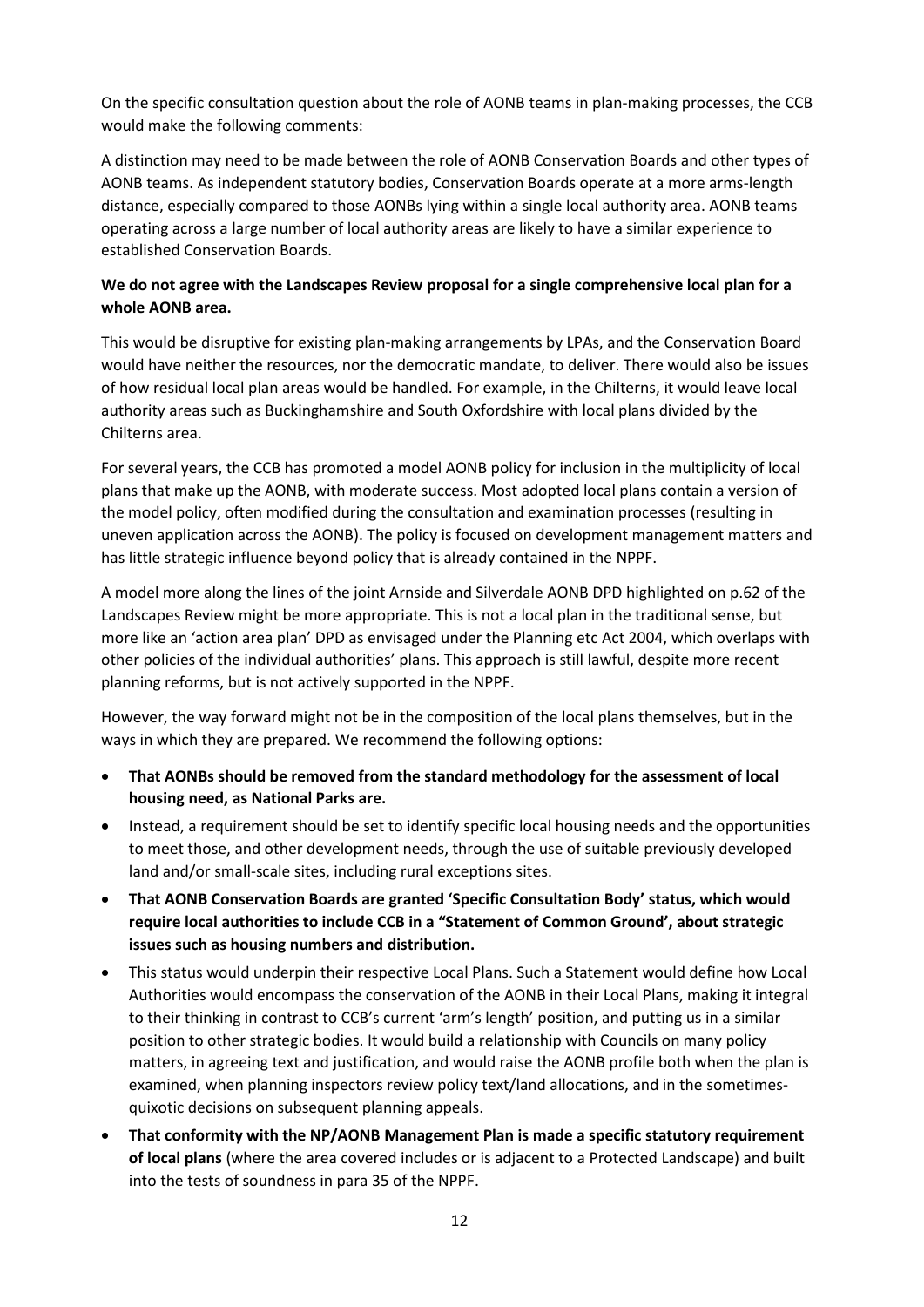On the specific consultation question about the role of AONB teams in plan-making processes, the CCB would make the following comments:

A distinction may need to be made between the role of AONB Conservation Boards and other types of AONB teams. As independent statutory bodies, Conservation Boards operate at a more arms-length distance, especially compared to those AONBs lying within a single local authority area. AONB teams operating across a large number of local authority areas are likely to have a similar experience to established Conservation Boards.

#### **We do not agree with the Landscapes Review proposal for a single comprehensive local plan for a whole AONB area.**

This would be disruptive for existing plan-making arrangements by LPAs, and the Conservation Board would have neither the resources, nor the democratic mandate, to deliver. There would also be issues of how residual local plan areas would be handled. For example, in the Chilterns, it would leave local authority areas such as Buckinghamshire and South Oxfordshire with local plans divided by the Chilterns area.

For several years, the CCB has promoted a model AONB policy for inclusion in the multiplicity of local plans that make up the AONB, with moderate success. Most adopted local plans contain a version of the model policy, often modified during the consultation and examination processes (resulting in uneven application across the AONB). The policy is focused on development management matters and has little strategic influence beyond policy that is already contained in the NPPF.

A model more along the lines of the joint Arnside and Silverdale AONB DPD highlighted on p.62 of the Landscapes Review might be more appropriate. This is not a local plan in the traditional sense, but more like an 'action area plan' DPD as envisaged under the Planning etc Act 2004, which overlaps with other policies of the individual authorities' plans. This approach is still lawful, despite more recent planning reforms, but is not actively supported in the NPPF.

However, the way forward might not be in the composition of the local plans themselves, but in the ways in which they are prepared. We recommend the following options:

- **That AONBs should be removed from the standard methodology for the assessment of local housing need, as National Parks are.**
- Instead, a requirement should be set to identify specific local housing needs and the opportunities to meet those, and other development needs, through the use of suitable previously developed land and/or small-scale sites, including rural exceptions sites.
- **That AONB Conservation Boards are granted 'Specific Consultation Body' status, which would require local authorities to include CCB in a "Statement of Common Ground', about strategic issues such as housing numbers and distribution.**
- This status would underpin their respective Local Plans. Such a Statement would define how Local Authorities would encompass the conservation of the AONB in their Local Plans, making it integral to their thinking in contrast to CCB's current 'arm's length' position, and putting us in a similar position to other strategic bodies. It would build a relationship with Councils on many policy matters, in agreeing text and justification, and would raise the AONB profile both when the plan is examined, when planning inspectors review policy text/land allocations, and in the sometimesquixotic decisions on subsequent planning appeals.
- **That conformity with the NP/AONB Management Plan is made a specific statutory requirement of local plans** (where the area covered includes or is adjacent to a Protected Landscape) and built into the tests of soundness in para 35 of the NPPF.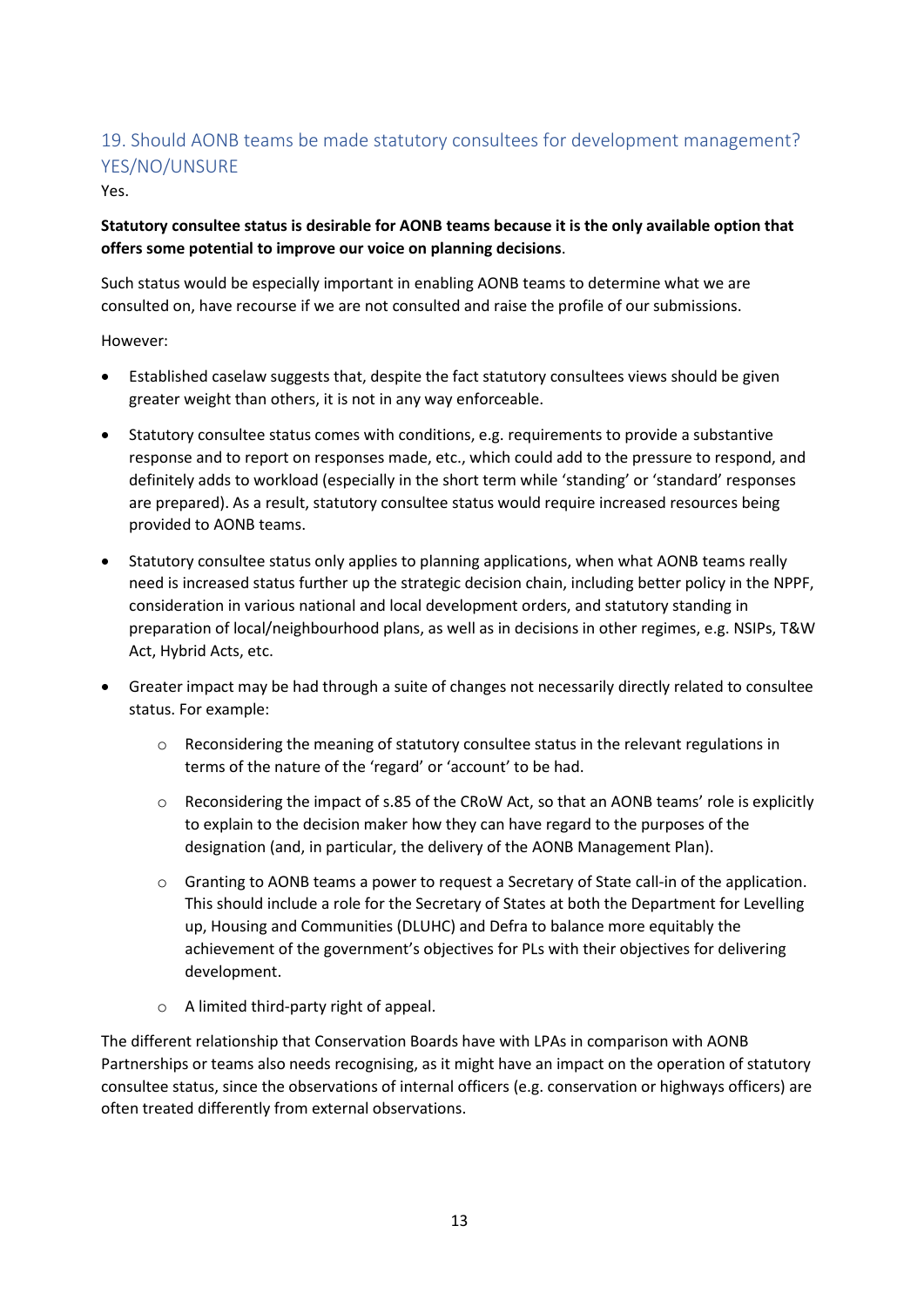## 19. Should AONB teams be made statutory consultees for development management? YES/NO/UNSURE

Yes.

### **Statutory consultee status is desirable for AONB teams because it is the only available option that offers some potential to improve our voice on planning decisions**.

Such status would be especially important in enabling AONB teams to determine what we are consulted on, have recourse if we are not consulted and raise the profile of our submissions.

### However:

- Established caselaw suggests that, despite the fact statutory consultees views should be given greater weight than others, it is not in any way enforceable.
- Statutory consultee status comes with conditions, e.g. requirements to provide a substantive response and to report on responses made, etc., which could add to the pressure to respond, and definitely adds to workload (especially in the short term while 'standing' or 'standard' responses are prepared). As a result, statutory consultee status would require increased resources being provided to AONB teams.
- Statutory consultee status only applies to planning applications, when what AONB teams really need is increased status further up the strategic decision chain, including better policy in the NPPF, consideration in various national and local development orders, and statutory standing in preparation of local/neighbourhood plans, as well as in decisions in other regimes, e.g. NSIPs, T&W Act, Hybrid Acts, etc.
- Greater impact may be had through a suite of changes not necessarily directly related to consultee status. For example:
	- $\circ$  Reconsidering the meaning of statutory consultee status in the relevant regulations in terms of the nature of the 'regard' or 'account' to be had.
	- $\circ$  Reconsidering the impact of s.85 of the CRoW Act, so that an AONB teams' role is explicitly to explain to the decision maker how they can have regard to the purposes of the designation (and, in particular, the delivery of the AONB Management Plan).
	- o Granting to AONB teams a power to request a Secretary of State call-in of the application. This should include a role for the Secretary of States at both the Department for Levelling up, Housing and Communities (DLUHC) and Defra to balance more equitably the achievement of the government's objectives for PLs with their objectives for delivering development.
	- o A limited third-party right of appeal.

The different relationship that Conservation Boards have with LPAs in comparison with AONB Partnerships or teams also needs recognising, as it might have an impact on the operation of statutory consultee status, since the observations of internal officers (e.g. conservation or highways officers) are often treated differently from external observations.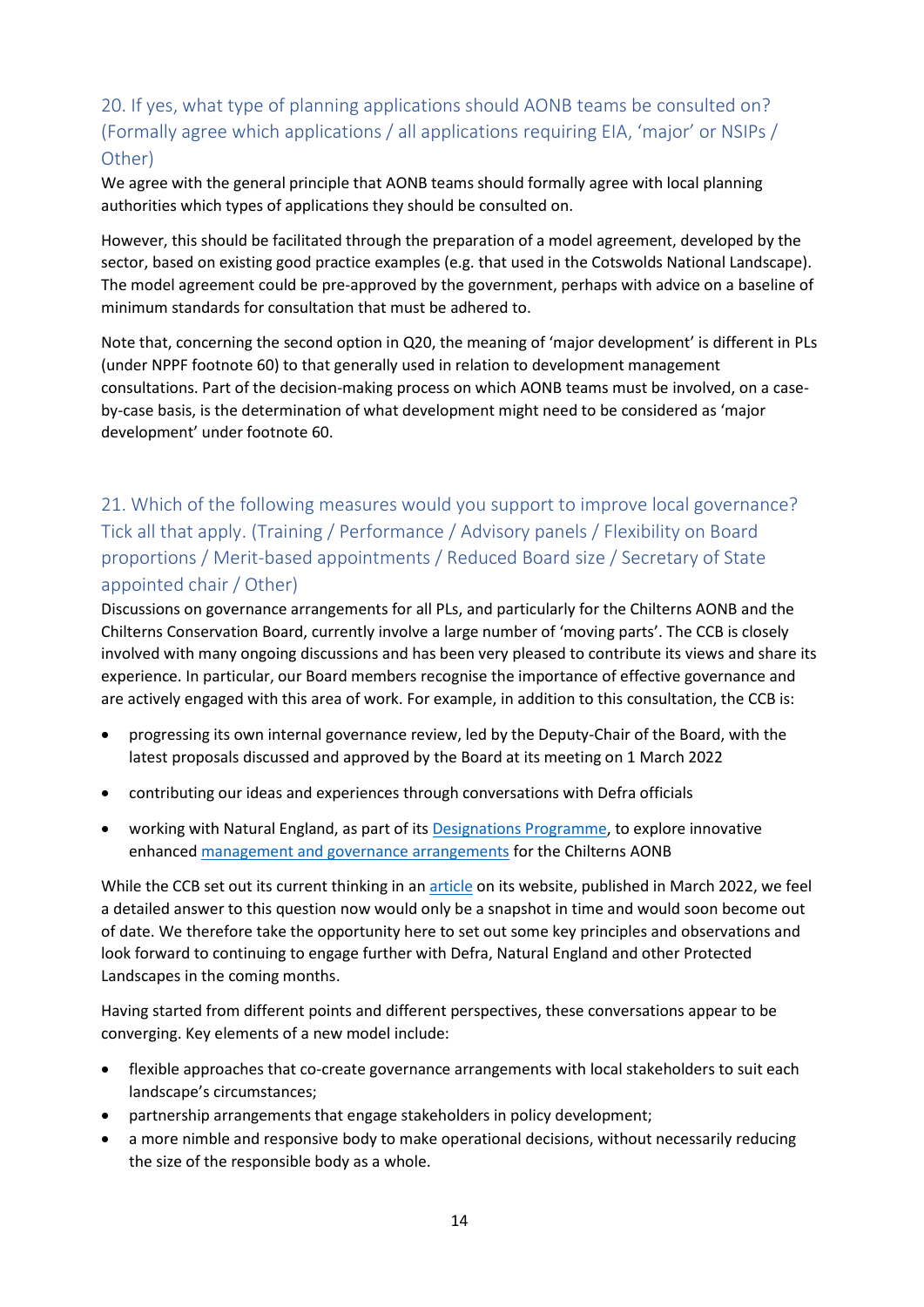## 20. If yes, what type of planning applications should AONB teams be consulted on? (Formally agree which applications / all applications requiring EIA, 'major' or NSIPs / Other)

We agree with the general principle that AONB teams should formally agree with local planning authorities which types of applications they should be consulted on.

However, this should be facilitated through the preparation of a model agreement, developed by the sector, based on existing good practice examples (e.g. that used in the Cotswolds National Landscape). The model agreement could be pre-approved by the government, perhaps with advice on a baseline of minimum standards for consultation that must be adhered to.

Note that, concerning the second option in Q20, the meaning of 'major development' is different in PLs (under NPPF footnote 60) to that generally used in relation to development management consultations. Part of the decision-making process on which AONB teams must be involved, on a caseby-case basis, is the determination of what development might need to be considered as 'major development' under footnote 60.

## 21. Which of the following measures would you support to improve local governance? Tick all that apply. (Training / Performance / Advisory panels / Flexibility on Board proportions / Merit-based appointments / Reduced Board size / Secretary of State appointed chair / Other)

Discussions on governance arrangements for all PLs, and particularly for the Chilterns AONB and the Chilterns Conservation Board, currently involve a large number of 'moving parts'. The CCB is closely involved with many ongoing discussions and has been very pleased to contribute its views and share its experience. In particular, our Board members recognise the importance of effective governance and are actively engaged with this area of work. For example, in addition to this consultation, the CCB is:

- progressing its own internal governance review, led by the Deputy-Chair of the Board, with the latest proposals discussed and approved by the Board at its meeting on 1 March 2022
- contributing our ideas and experiences through conversations with Defra officials
- working with Natural England, as part of it[s Designations Programme,](https://www.gov.uk/government/news/natural-england-announces-landmark-new-programme-for-protected-landscapes) to explore innovative enhance[d management and governance arrangements](https://www.chilternsaonb.org/chilterns-aonb-boundary-review.html) for the Chilterns AONB

While the CCB set out its current thinking in a[n article](https://www.chilternsaonb.org/news/549/19/Bigger-and-Better-next-steps-for-the-Chilterns-AONB.html) on its website, published in March 2022, we feel a detailed answer to this question now would only be a snapshot in time and would soon become out of date. We therefore take the opportunity here to set out some key principles and observations and look forward to continuing to engage further with Defra, Natural England and other Protected Landscapes in the coming months.

Having started from different points and different perspectives, these conversations appear to be converging. Key elements of a new model include:

- flexible approaches that co-create governance arrangements with local stakeholders to suit each landscape's circumstances;
- partnership arrangements that engage stakeholders in policy development;
- a more nimble and responsive body to make operational decisions, without necessarily reducing the size of the responsible body as a whole.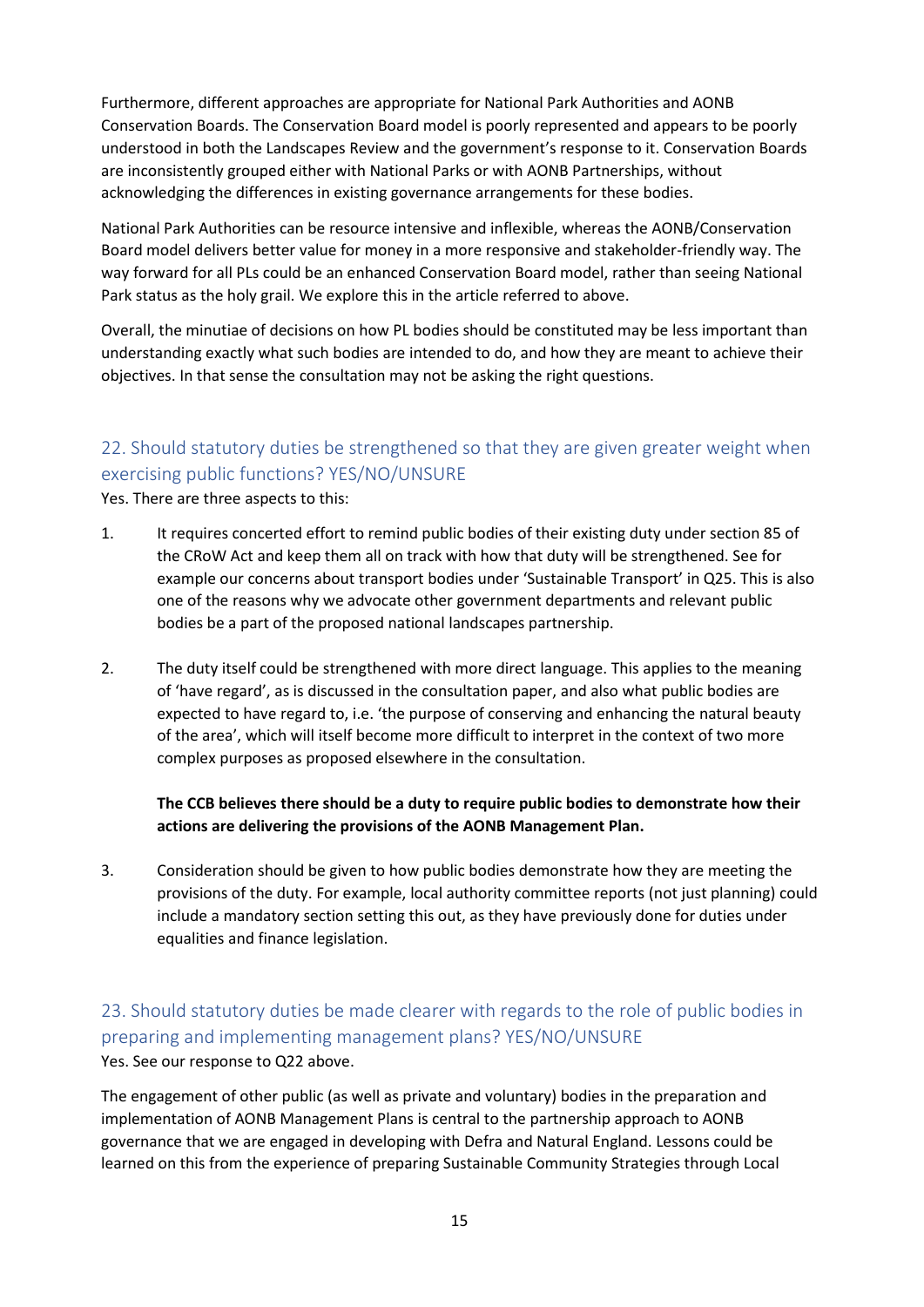Furthermore, different approaches are appropriate for National Park Authorities and AONB Conservation Boards. The Conservation Board model is poorly represented and appears to be poorly understood in both the Landscapes Review and the government's response to it. Conservation Boards are inconsistently grouped either with National Parks or with AONB Partnerships, without acknowledging the differences in existing governance arrangements for these bodies.

National Park Authorities can be resource intensive and inflexible, whereas the AONB/Conservation Board model delivers better value for money in a more responsive and stakeholder-friendly way. The way forward for all PLs could be an enhanced Conservation Board model, rather than seeing National Park status as the holy grail. We explore this in the article referred to above.

Overall, the minutiae of decisions on how PL bodies should be constituted may be less important than understanding exactly what such bodies are intended to do, and how they are meant to achieve their objectives. In that sense the consultation may not be asking the right questions.

## 22. Should statutory duties be strengthened so that they are given greater weight when exercising public functions? YES/NO/UNSURE

Yes. There are three aspects to this:

- 1. It requires concerted effort to remind public bodies of their existing duty under section 85 of the CRoW Act and keep them all on track with how that duty will be strengthened. See for example our concerns about transport bodies under 'Sustainable Transport' in Q25. This is also one of the reasons why we advocate other government departments and relevant public bodies be a part of the proposed national landscapes partnership.
- 2. The duty itself could be strengthened with more direct language. This applies to the meaning of 'have regard', as is discussed in the consultation paper, and also what public bodies are expected to have regard to, i.e. 'the purpose of conserving and enhancing the natural beauty of the area', which will itself become more difficult to interpret in the context of two more complex purposes as proposed elsewhere in the consultation.

### **The CCB believes there should be a duty to require public bodies to demonstrate how their actions are delivering the provisions of the AONB Management Plan.**

3. Consideration should be given to how public bodies demonstrate how they are meeting the provisions of the duty. For example, local authority committee reports (not just planning) could include a mandatory section setting this out, as they have previously done for duties under equalities and finance legislation.

## 23. Should statutory duties be made clearer with regards to the role of public bodies in preparing and implementing management plans? YES/NO/UNSURE Yes. See our response to Q22 above.

The engagement of other public (as well as private and voluntary) bodies in the preparation and implementation of AONB Management Plans is central to the partnership approach to AONB governance that we are engaged in developing with Defra and Natural England. Lessons could be learned on this from the experience of preparing Sustainable Community Strategies through Local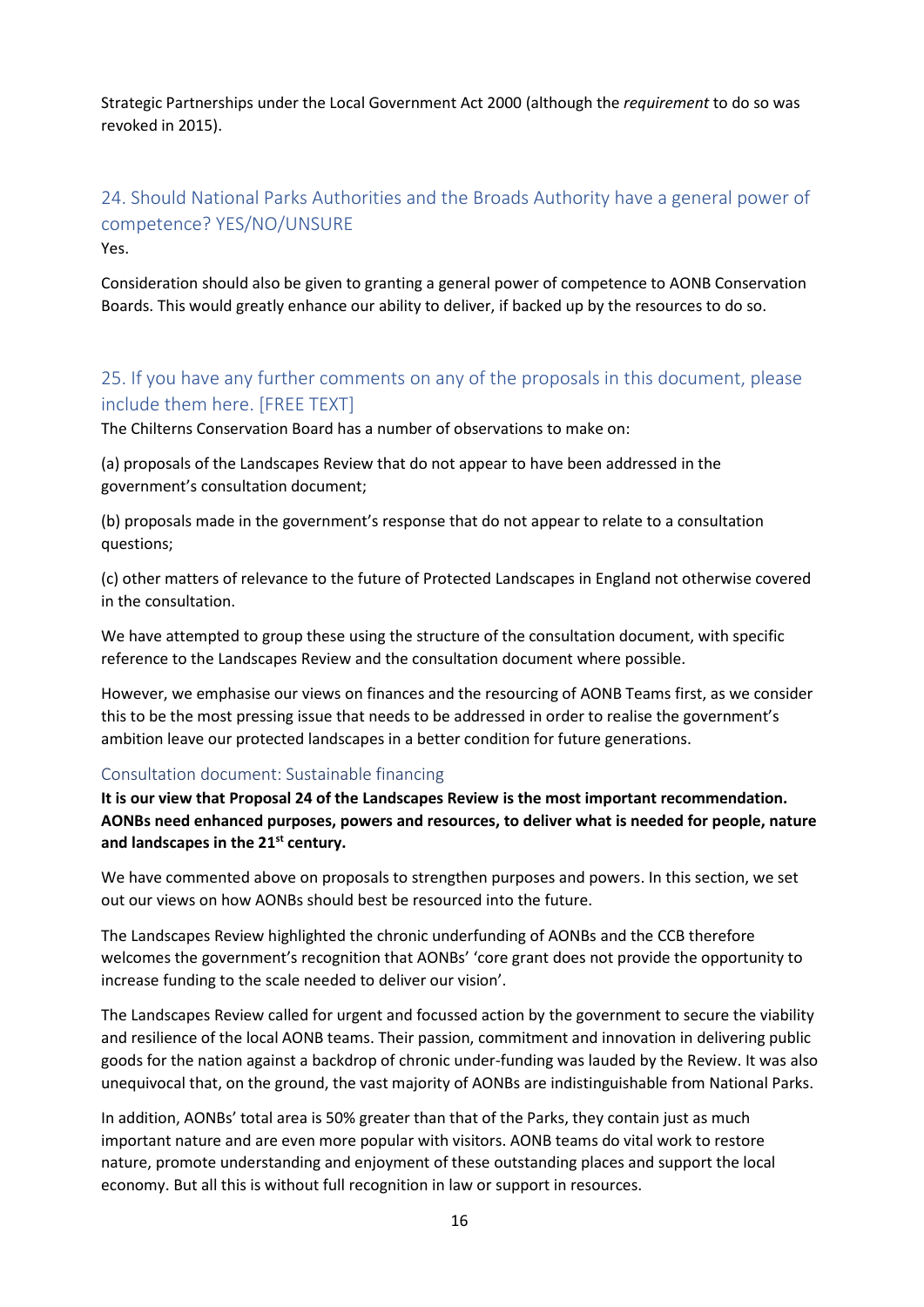Strategic Partnerships under the Local Government Act 2000 (although the *requirement* to do so was revoked in 2015).

## 24. Should National Parks Authorities and the Broads Authority have a general power of competence? YES/NO/UNSURE Yes.

Consideration should also be given to granting a general power of competence to AONB Conservation Boards. This would greatly enhance our ability to deliver, if backed up by the resources to do so.

## 25. If you have any further comments on any of the proposals in this document, please include them here. [FREE TEXT]

The Chilterns Conservation Board has a number of observations to make on:

(a) proposals of the Landscapes Review that do not appear to have been addressed in the government's consultation document;

(b) proposals made in the government's response that do not appear to relate to a consultation questions;

(c) other matters of relevance to the future of Protected Landscapes in England not otherwise covered in the consultation.

We have attempted to group these using the structure of the consultation document, with specific reference to the Landscapes Review and the consultation document where possible.

However, we emphasise our views on finances and the resourcing of AONB Teams first, as we consider this to be the most pressing issue that needs to be addressed in order to realise the government's ambition leave our protected landscapes in a better condition for future generations.

#### Consultation document: Sustainable financing

**It is our view that Proposal 24 of the Landscapes Review is the most important recommendation. AONBs need enhanced purposes, powers and resources, to deliver what is needed for people, nature and landscapes in the 21st century.** 

We have commented above on proposals to strengthen purposes and powers. In this section, we set out our views on how AONBs should best be resourced into the future.

The Landscapes Review highlighted the chronic underfunding of AONBs and the CCB therefore welcomes the government's recognition that AONBs' 'core grant does not provide the opportunity to increase funding to the scale needed to deliver our vision'.

The Landscapes Review called for urgent and focussed action by the government to secure the viability and resilience of the local AONB teams. Their passion, commitment and innovation in delivering public goods for the nation against a backdrop of chronic under-funding was lauded by the Review. It was also unequivocal that, on the ground, the vast majority of AONBs are indistinguishable from National Parks.

In addition, AONBs' total area is 50% greater than that of the Parks, they contain just as much important nature and are even more popular with visitors. AONB teams do vital work to restore nature, promote understanding and enjoyment of these outstanding places and support the local economy. But all this is without full recognition in law or support in resources.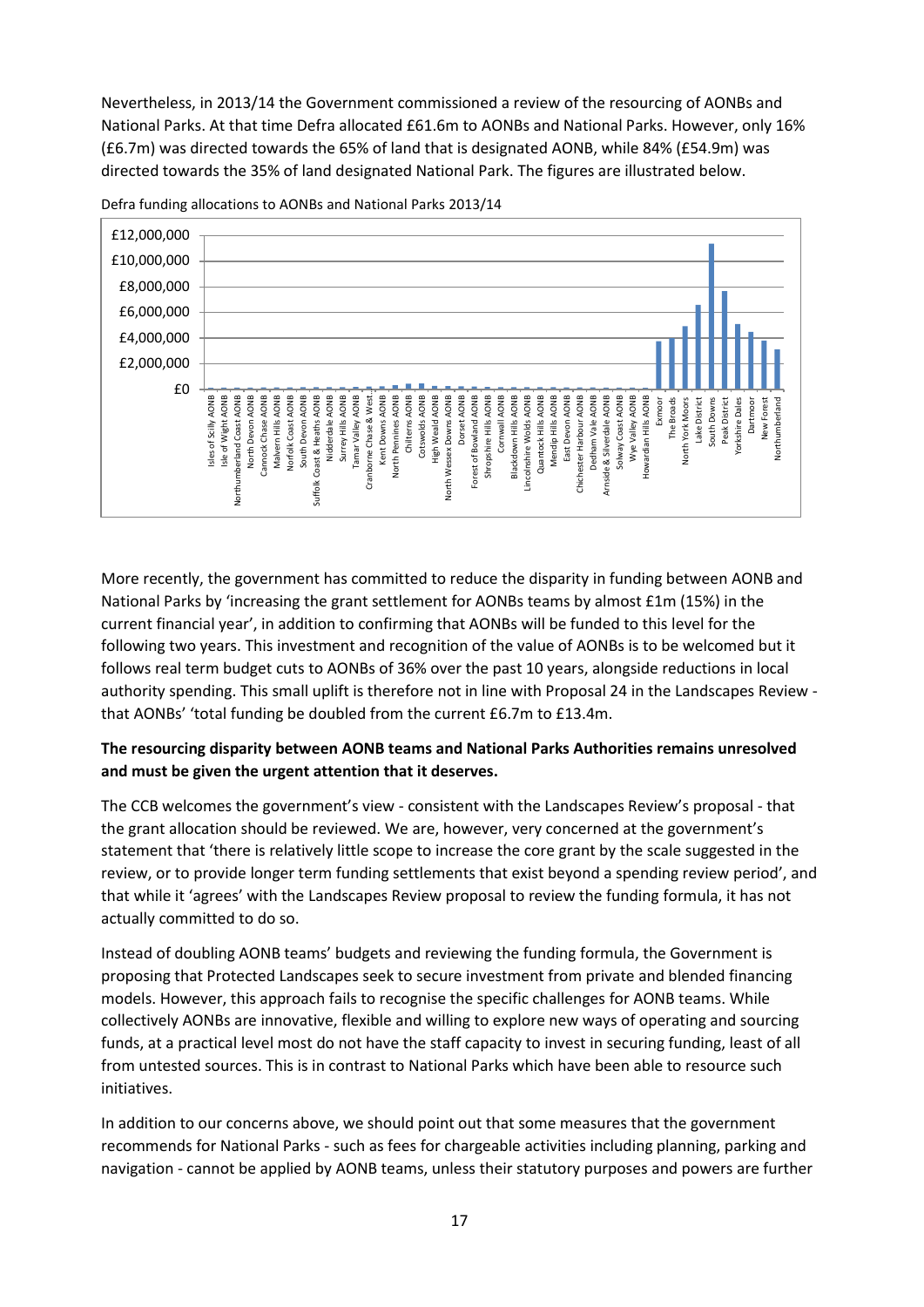Nevertheless, in 2013/14 the Government commissioned a review of the resourcing of AONBs and National Parks. At that time Defra allocated £61.6m to AONBs and National Parks. However, only 16% (£6.7m) was directed towards the 65% of land that is designated AONB, while 84% (£54.9m) was directed towards the 35% of land designated National Park. The figures are illustrated below.



Defra funding allocations to AONBs and National Parks 2013/14

More recently, the government has committed to reduce the disparity in funding between AONB and National Parks by 'increasing the grant settlement for AONBs teams by almost £1m (15%) in the current financial year', in addition to confirming that AONBs will be funded to this level for the following two years. This investment and recognition of the value of AONBs is to be welcomed but it follows real term budget cuts to AONBs of 36% over the past 10 years, alongside reductions in local authority spending. This small uplift is therefore not in line with Proposal 24 in the Landscapes Review that AONBs' 'total funding be doubled from the current £6.7m to £13.4m.

#### **The resourcing disparity between AONB teams and National Parks Authorities remains unresolved and must be given the urgent attention that it deserves.**

The CCB welcomes the government's view - consistent with the Landscapes Review's proposal - that the grant allocation should be reviewed. We are, however, very concerned at the government's statement that 'there is relatively little scope to increase the core grant by the scale suggested in the review, or to provide longer term funding settlements that exist beyond a spending review period', and that while it 'agrees' with the Landscapes Review proposal to review the funding formula, it has not actually committed to do so.

Instead of doubling AONB teams' budgets and reviewing the funding formula, the Government is proposing that Protected Landscapes seek to secure investment from private and blended financing models. However, this approach fails to recognise the specific challenges for AONB teams. While collectively AONBs are innovative, flexible and willing to explore new ways of operating and sourcing funds, at a practical level most do not have the staff capacity to invest in securing funding, least of all from untested sources. This is in contrast to National Parks which have been able to resource such initiatives.

In addition to our concerns above, we should point out that some measures that the government recommends for National Parks - such as fees for chargeable activities including planning, parking and navigation - cannot be applied by AONB teams, unless their statutory purposes and powers are further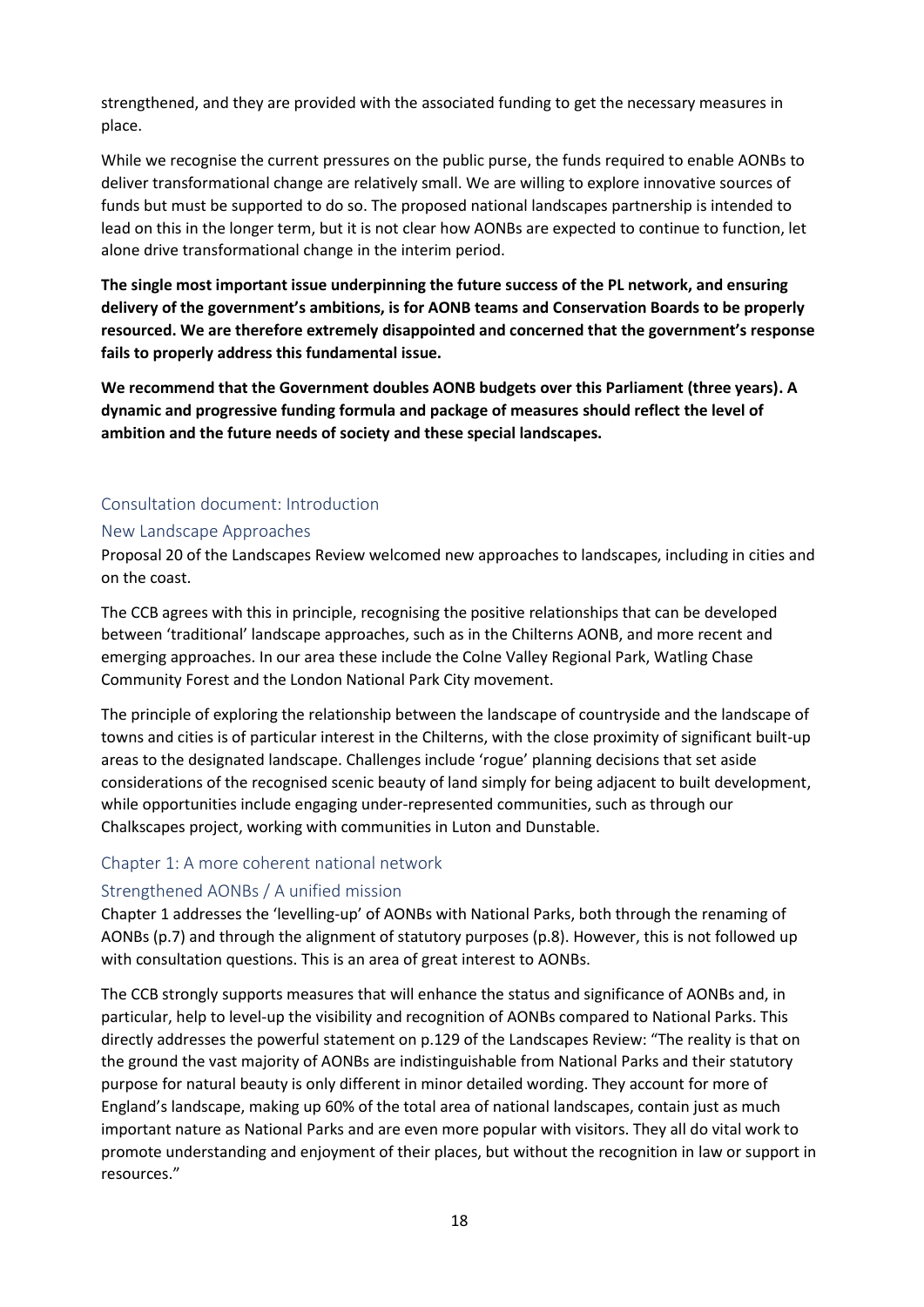strengthened, and they are provided with the associated funding to get the necessary measures in place.

While we recognise the current pressures on the public purse, the funds required to enable AONBs to deliver transformational change are relatively small. We are willing to explore innovative sources of funds but must be supported to do so. The proposed national landscapes partnership is intended to lead on this in the longer term, but it is not clear how AONBs are expected to continue to function, let alone drive transformational change in the interim period.

**The single most important issue underpinning the future success of the PL network, and ensuring delivery of the government's ambitions, is for AONB teams and Conservation Boards to be properly resourced. We are therefore extremely disappointed and concerned that the government's response fails to properly address this fundamental issue.**

**We recommend that the Government doubles AONB budgets over this Parliament (three years). A dynamic and progressive funding formula and package of measures should reflect the level of ambition and the future needs of society and these special landscapes.**

### Consultation document: Introduction

#### New Landscape Approaches

Proposal 20 of the Landscapes Review welcomed new approaches to landscapes, including in cities and on the coast.

The CCB agrees with this in principle, recognising the positive relationships that can be developed between 'traditional' landscape approaches, such as in the Chilterns AONB, and more recent and emerging approaches. In our area these include the Colne Valley Regional Park, Watling Chase Community Forest and the London National Park City movement.

The principle of exploring the relationship between the landscape of countryside and the landscape of towns and cities is of particular interest in the Chilterns, with the close proximity of significant built-up areas to the designated landscape. Challenges include 'rogue' planning decisions that set aside considerations of the recognised scenic beauty of land simply for being adjacent to built development, while opportunities include engaging under-represented communities, such as through our Chalkscapes project, working with communities in Luton and Dunstable.

#### Chapter 1: A more coherent national network

#### Strengthened AONBs / A unified mission

Chapter 1 addresses the 'levelling-up' of AONBs with National Parks, both through the renaming of AONBs (p.7) and through the alignment of statutory purposes (p.8). However, this is not followed up with consultation questions. This is an area of great interest to AONBs.

The CCB strongly supports measures that will enhance the status and significance of AONBs and, in particular, help to level-up the visibility and recognition of AONBs compared to National Parks. This directly addresses the powerful statement on p.129 of the Landscapes Review: "The reality is that on the ground the vast majority of AONBs are indistinguishable from National Parks and their statutory purpose for natural beauty is only different in minor detailed wording. They account for more of England's landscape, making up 60% of the total area of national landscapes, contain just as much important nature as National Parks and are even more popular with visitors. They all do vital work to promote understanding and enjoyment of their places, but without the recognition in law or support in resources."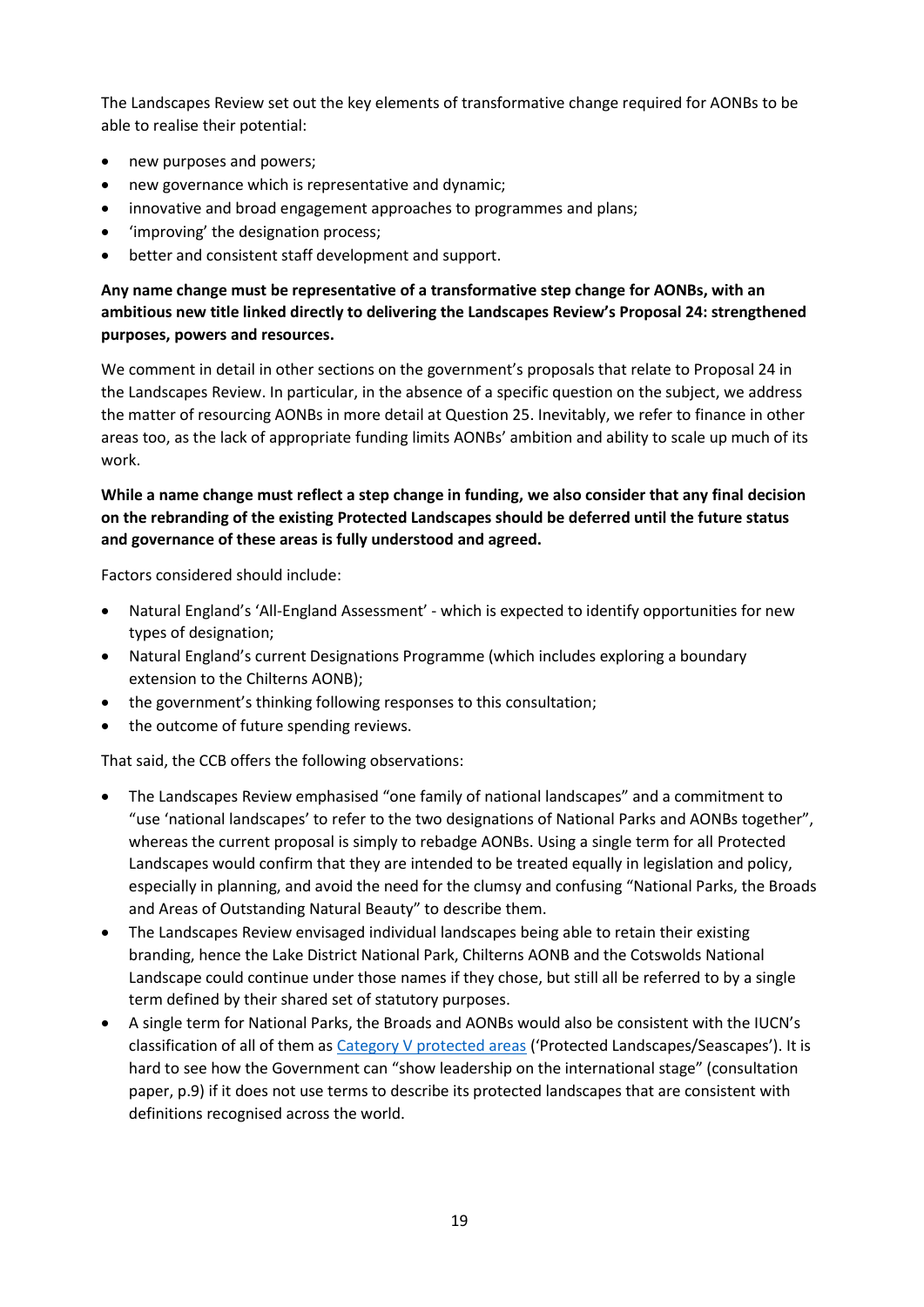The Landscapes Review set out the key elements of transformative change required for AONBs to be able to realise their potential:

- new purposes and powers;
- new governance which is representative and dynamic;
- innovative and broad engagement approaches to programmes and plans;
- 'improving' the designation process;
- better and consistent staff development and support.

### **Any name change must be representative of a transformative step change for AONBs, with an ambitious new title linked directly to delivering the Landscapes Review's Proposal 24: strengthened purposes, powers and resources.**

We comment in detail in other sections on the government's proposals that relate to Proposal 24 in the Landscapes Review. In particular, in the absence of a specific question on the subject, we address the matter of resourcing AONBs in more detail at Question 25. Inevitably, we refer to finance in other areas too, as the lack of appropriate funding limits AONBs' ambition and ability to scale up much of its work.

## **While a name change must reflect a step change in funding, we also consider that any final decision on the rebranding of the existing Protected Landscapes should be deferred until the future status and governance of these areas is fully understood and agreed.**

Factors considered should include:

- Natural England's 'All-England Assessment' which is expected to identify opportunities for new types of designation;
- Natural England's current Designations Programme (which includes exploring a boundary extension to the Chilterns AONB);
- the government's thinking following responses to this consultation;
- the outcome of future spending reviews.

That said, the CCB offers the following observations:

- The Landscapes Review emphasised "one family of national landscapes" and a commitment to "use 'national landscapes' to refer to the two designations of National Parks and AONBs together", whereas the current proposal is simply to rebadge AONBs. Using a single term for all Protected Landscapes would confirm that they are intended to be treated equally in legislation and policy, especially in planning, and avoid the need for the clumsy and confusing "National Parks, the Broads and Areas of Outstanding Natural Beauty" to describe them.
- The Landscapes Review envisaged individual landscapes being able to retain their existing branding, hence the Lake District National Park, Chilterns AONB and the Cotswolds National Landscape could continue under those names if they chose, but still all be referred to by a single term defined by their shared set of statutory purposes.
- A single term for National Parks, the Broads and AONBs would also be consistent with the IUCN's classification of all of them as [Category V protected areas](https://www.iucn.org/theme/protected-areas/about/protected-areas-categories/category-v-protected-landscapeseascape) ('Protected Landscapes/Seascapes'). It is hard to see how the Government can "show leadership on the international stage" (consultation paper, p.9) if it does not use terms to describe its protected landscapes that are consistent with definitions recognised across the world.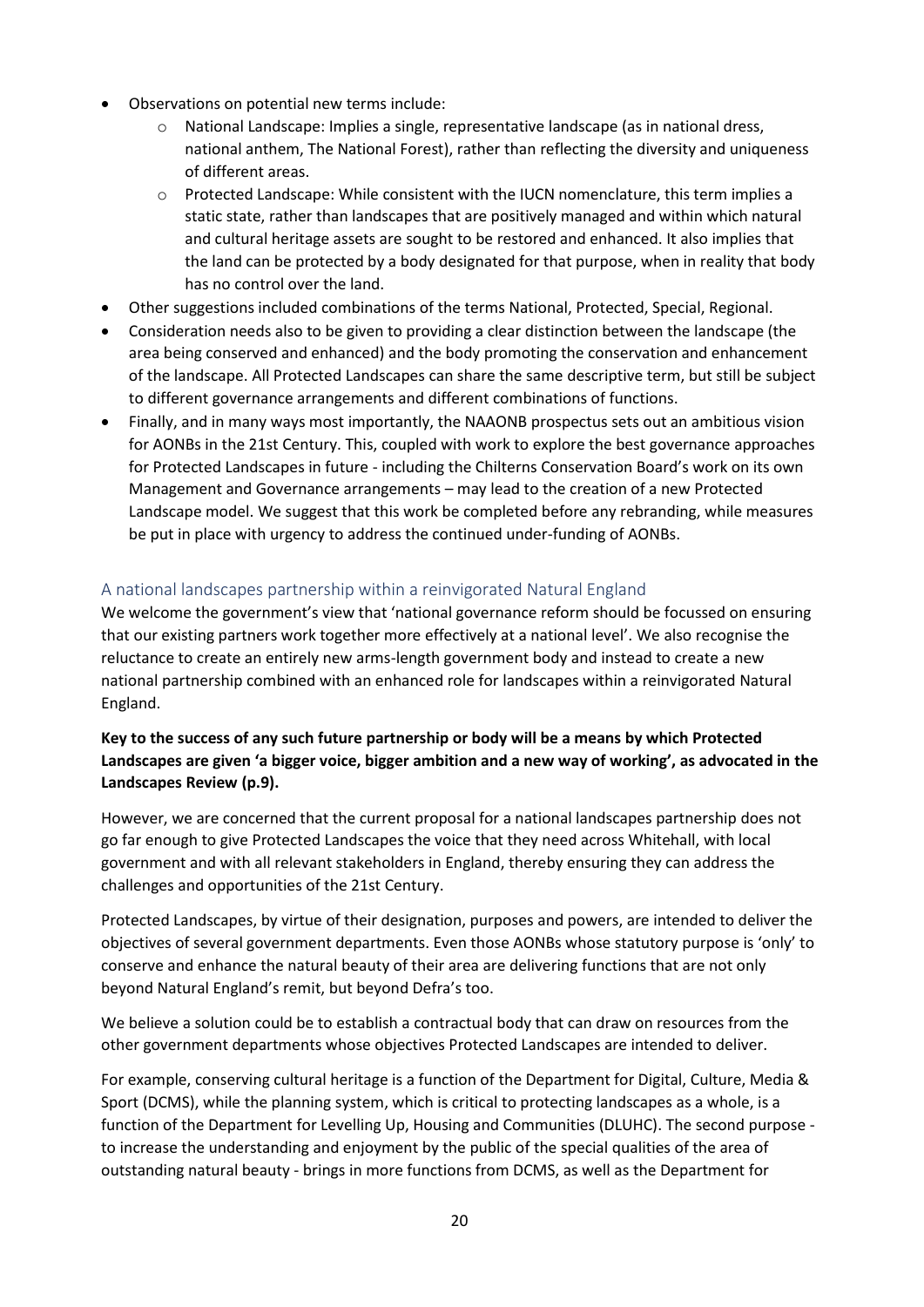- Observations on potential new terms include:
	- $\circ$  National Landscape: Implies a single, representative landscape (as in national dress, national anthem, The National Forest), rather than reflecting the diversity and uniqueness of different areas.
	- o Protected Landscape: While consistent with the IUCN nomenclature, this term implies a static state, rather than landscapes that are positively managed and within which natural and cultural heritage assets are sought to be restored and enhanced. It also implies that the land can be protected by a body designated for that purpose, when in reality that body has no control over the land.
- Other suggestions included combinations of the terms National, Protected, Special, Regional.
- Consideration needs also to be given to providing a clear distinction between the landscape (the area being conserved and enhanced) and the body promoting the conservation and enhancement of the landscape. All Protected Landscapes can share the same descriptive term, but still be subject to different governance arrangements and different combinations of functions.
- Finally, and in many ways most importantly, the NAAONB prospectus sets out an ambitious vision for AONBs in the 21st Century. This, coupled with work to explore the best governance approaches for Protected Landscapes in future - including the Chilterns Conservation Board's work on its own Management and Governance arrangements – may lead to the creation of a new Protected Landscape model. We suggest that this work be completed before any rebranding, while measures be put in place with urgency to address the continued under-funding of AONBs.

## A national landscapes partnership within a reinvigorated Natural England

We welcome the government's view that 'national governance reform should be focussed on ensuring that our existing partners work together more effectively at a national level'. We also recognise the reluctance to create an entirely new arms-length government body and instead to create a new national partnership combined with an enhanced role for landscapes within a reinvigorated Natural England.

## **Key to the success of any such future partnership or body will be a means by which Protected Landscapes are given 'a bigger voice, bigger ambition and a new way of working', as advocated in the Landscapes Review (p.9).**

However, we are concerned that the current proposal for a national landscapes partnership does not go far enough to give Protected Landscapes the voice that they need across Whitehall, with local government and with all relevant stakeholders in England, thereby ensuring they can address the challenges and opportunities of the 21st Century.

Protected Landscapes, by virtue of their designation, purposes and powers, are intended to deliver the objectives of several government departments. Even those AONBs whose statutory purpose is 'only' to conserve and enhance the natural beauty of their area are delivering functions that are not only beyond Natural England's remit, but beyond Defra's too.

We believe a solution could be to establish a contractual body that can draw on resources from the other government departments whose objectives Protected Landscapes are intended to deliver.

For example, conserving cultural heritage is a function of the Department for Digital, Culture, Media & Sport (DCMS), while the planning system, which is critical to protecting landscapes as a whole, is a function of the Department for Levelling Up, Housing and Communities (DLUHC). The second purpose to increase the understanding and enjoyment by the public of the special qualities of the area of outstanding natural beauty - brings in more functions from DCMS, as well as the Department for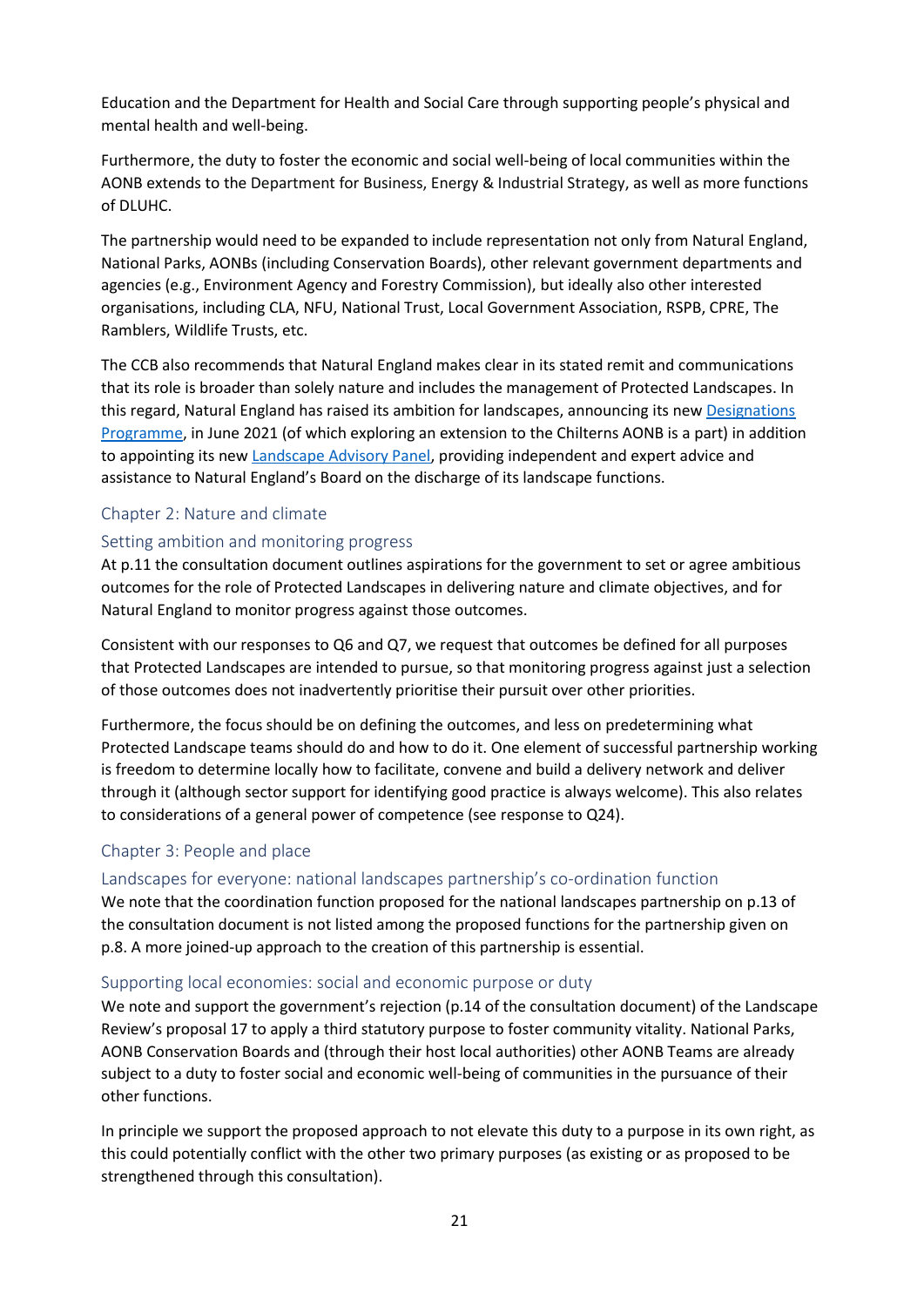Education and the Department for Health and Social Care through supporting people's physical and mental health and well-being.

Furthermore, the duty to foster the economic and social well-being of local communities within the AONB extends to the Department for Business, Energy & Industrial Strategy, as well as more functions of DLUHC.

The partnership would need to be expanded to include representation not only from Natural England, National Parks, AONBs (including Conservation Boards), other relevant government departments and agencies (e.g., Environment Agency and Forestry Commission), but ideally also other interested organisations, including CLA, NFU, National Trust, Local Government Association, RSPB, CPRE, The Ramblers, Wildlife Trusts, etc.

The CCB also recommends that Natural England makes clear in its stated remit and communications that its role is broader than solely nature and includes the management of Protected Landscapes. In this regard, Natural England has raised its ambition for landscapes, announcing its new [Designations](https://www.gov.uk/government/news/natural-england-announces-landmark-new-programme-for-protected-landscapes)  [Programme,](https://www.gov.uk/government/news/natural-england-announces-landmark-new-programme-for-protected-landscapes) in June 2021 (of which exploring an extension to the Chilterns AONB is a part) in addition to appointing its new [Landscape Advisory Panel,](https://naturalengland.blog.gov.uk/2022/01/27/an-important-step-for-englands-landscapes-welcoming-the-new-natural-england-landscape-advisory-panel/) providing independent and expert advice and assistance to Natural England's Board on the discharge of its landscape functions.

#### Chapter 2: Nature and climate

#### Setting ambition and monitoring progress

At p.11 the consultation document outlines aspirations for the government to set or agree ambitious outcomes for the role of Protected Landscapes in delivering nature and climate objectives, and for Natural England to monitor progress against those outcomes.

Consistent with our responses to Q6 and Q7, we request that outcomes be defined for all purposes that Protected Landscapes are intended to pursue, so that monitoring progress against just a selection of those outcomes does not inadvertently prioritise their pursuit over other priorities.

Furthermore, the focus should be on defining the outcomes, and less on predetermining what Protected Landscape teams should do and how to do it. One element of successful partnership working is freedom to determine locally how to facilitate, convene and build a delivery network and deliver through it (although sector support for identifying good practice is always welcome). This also relates to considerations of a general power of competence (see response to Q24).

#### Chapter 3: People and place

#### Landscapes for everyone: national landscapes partnership's co-ordination function

We note that the coordination function proposed for the national landscapes partnership on p.13 of the consultation document is not listed among the proposed functions for the partnership given on p.8. A more joined-up approach to the creation of this partnership is essential.

#### Supporting local economies: social and economic purpose or duty

We note and support the government's rejection (p.14 of the consultation document) of the Landscape Review's proposal 17 to apply a third statutory purpose to foster community vitality. National Parks, AONB Conservation Boards and (through their host local authorities) other AONB Teams are already subject to a duty to foster social and economic well-being of communities in the pursuance of their other functions.

In principle we support the proposed approach to not elevate this duty to a purpose in its own right, as this could potentially conflict with the other two primary purposes (as existing or as proposed to be strengthened through this consultation).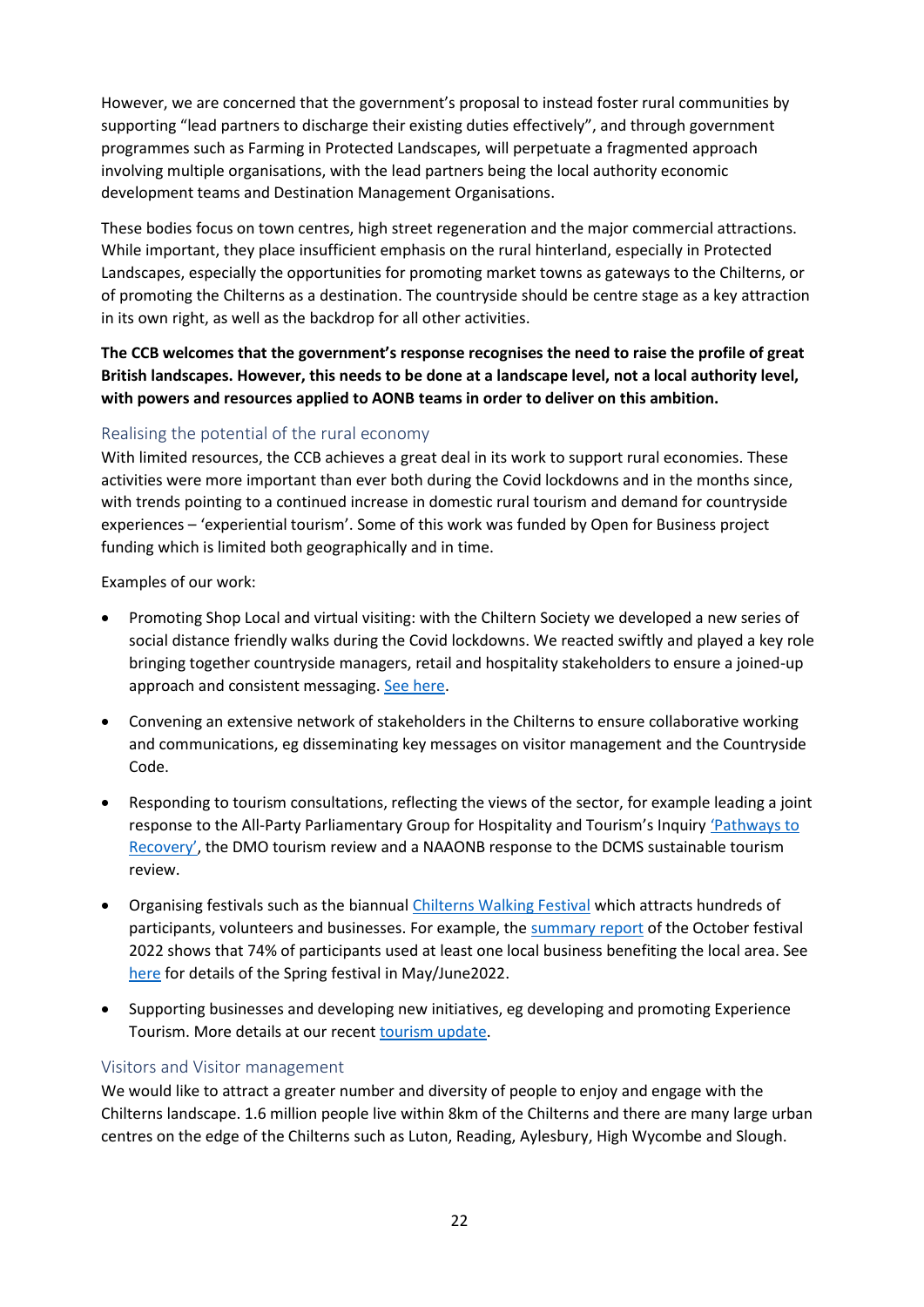However, we are concerned that the government's proposal to instead foster rural communities by supporting "lead partners to discharge their existing duties effectively", and through government programmes such as Farming in Protected Landscapes, will perpetuate a fragmented approach involving multiple organisations, with the lead partners being the local authority economic development teams and Destination Management Organisations.

These bodies focus on town centres, high street regeneration and the major commercial attractions. While important, they place insufficient emphasis on the rural hinterland, especially in Protected Landscapes, especially the opportunities for promoting market towns as gateways to the Chilterns, or of promoting the Chilterns as a destination. The countryside should be centre stage as a key attraction in its own right, as well as the backdrop for all other activities.

**The CCB welcomes that the government's response recognises the need to raise the profile of great British landscapes. However, this needs to be done at a landscape level, not a local authority level, with powers and resources applied to AONB teams in order to deliver on this ambition.**

### Realising the potential of the rural economy

With limited resources, the CCB achieves a great deal in its work to support rural economies. These activities were more important than ever both during the Covid lockdowns and in the months since, with trends pointing to a continued increase in domestic rural tourism and demand for countryside experiences – 'experiential tourism'. Some of this work was funded by Open for Business project funding which is limited both geographically and in time.

Examples of our work:

- Promoting Shop Local and virtual visiting: with the Chiltern Society we developed a new series of social distance friendly walks during the Covid lockdowns. We reacted swiftly and played a key role bringing together countryside managers, retail and hospitality stakeholders to ensure a joined-up approach and consistent messaging[. See here.](https://www.chilternsaonb.org/uploads/open_business_Claim3_Feb_July_2020.pdf)
- Convening an extensive network of stakeholders in the Chilterns to ensure collaborative working and communications, eg disseminating key messages on visitor management and the Countryside Code.
- Responding to tourism consultations, reflecting the views of the sector, for example leading a joint response to the All-Party Parliamentary Group for Hospitality and Tourism's Inquir[y 'Pathways to](https://www.chilternsaonb.org/news/420/19/Chilterns-Conservation-Board-publishes-its-response-to-the-Pathways-to-Recovery-Inquiry.html%206.5.2020%206.5.2020%206.5.2020)  [Recovery'](https://www.chilternsaonb.org/news/420/19/Chilterns-Conservation-Board-publishes-its-response-to-the-Pathways-to-Recovery-Inquiry.html%206.5.2020%206.5.2020%206.5.2020), the DMO tourism review and a NAAONB response to the DCMS sustainable tourism review.
- Organising festivals such as the biannual [Chilterns Walking Festival](https://www.chilternsaonb.org/news/552/24/Chilterns-Walking-Festival-Save-the-Date-21st-May-5th-June.html) which attracts hundreds of participants, volunteers and businesses. For example, the [summary report](https://www.visitchilterns.co.uk/uploads/CWF_Chilterns_Celebration_Festival_summary_Oct2021.pdf) of the October festival 2022 shows that 74% of participants used at least one local business benefiting the local area. See [here](https://www.visitchilterns.co.uk/walkingfest.html) for details of the Spring festival in May/June2022.
- Supporting businesses and developing new initiatives, eg developing and promoting Experience Tourism. More details at our recen[t tourism update.](https://www.chilternsaonb.org/uploads/Open_for_Business_summary_1Aug2021-31Jan2022.pdf)

#### Visitors and Visitor management

We would like to attract a greater number and diversity of people to enjoy and engage with the Chilterns landscape. 1.6 million people live within 8km of the Chilterns and there are many large urban centres on the edge of the Chilterns such as Luton, Reading, Aylesbury, High Wycombe and Slough.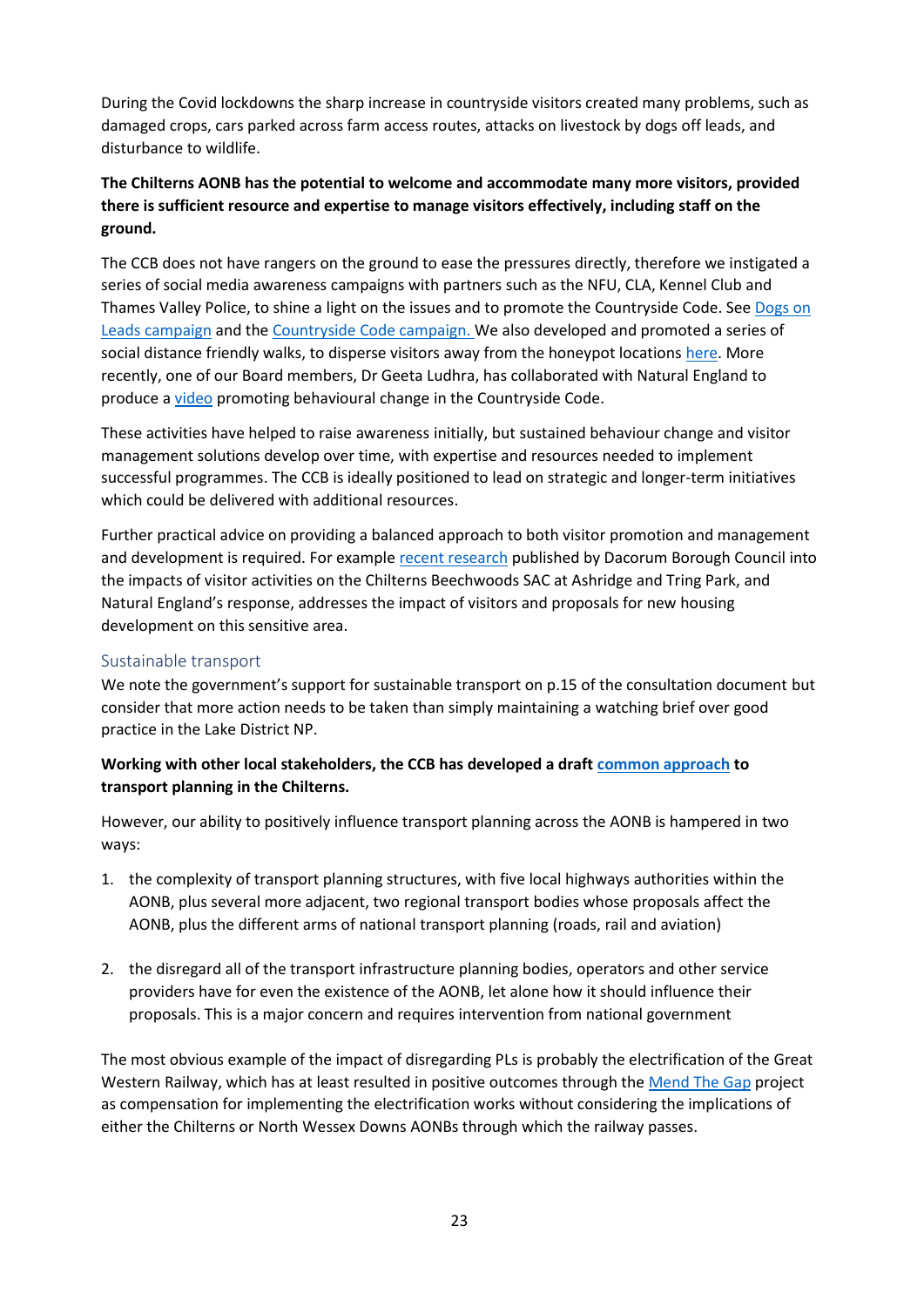During the Covid lockdowns the sharp increase in countryside visitors created many problems, such as damaged crops, cars parked across farm access routes, attacks on livestock by dogs off leads, and disturbance to wildlife.

## **The Chilterns AONB has the potential to welcome and accommodate many more visitors, provided there is sufficient resource and expertise to manage visitors effectively, including staff on the ground.**

The CCB does not have rangers on the ground to ease the pressures directly, therefore we instigated a series of social media awareness campaigns with partners such as the NFU, CLA, Kennel Club and Thames Valley Police, to shine a light on the issues and to promote the Countryside Code. Se[e Dogs on](https://www.chilternsaonb.org/news/486/19/Keep-dogs-on-leads-around-livestock-and-under-control-at-all-times.html)  [Leads campaign](https://www.chilternsaonb.org/news/486/19/Keep-dogs-on-leads-around-livestock-and-under-control-at-all-times.html) and th[e Countryside Code campaign.](https://www.chilternsaonb.org/news/490/19/Updated-Countryside-Code-will-help-everyone-enjoy-the-great-outdoors-this-Easter-and-beyond.html) We also developed and promoted a series of social distance friendly walks, to disperse visitors away from the honeypot locations [here.](https://www.chilternsaonb.org/news/438/19/New-social-distance-friendly-walks-launched-in-the-Chilterns.html) More recently, one of our Board members, Dr Geeta Ludhra, has collaborated with Natural England to produce [a video](https://twitter.com/educatinggeeta/status/1507405842332753925) promoting behavioural change in the Countryside Code.

These activities have helped to raise awareness initially, but sustained behaviour change and visitor management solutions develop over time, with expertise and resources needed to implement successful programmes. The CCB is ideally positioned to lead on strategic and longer-term initiatives which could be delivered with additional resources.

Further practical advice on providing a balanced approach to both visitor promotion and management and development is required. For example [recent research](https://www.dacorum.gov.uk/home/planning-development/planning-strategic-planning/new-single-local-plan/chilterns-beechwoods-special-area-of-conservation) published by Dacorum Borough Council into the impacts of visitor activities on the Chilterns Beechwoods SAC at Ashridge and Tring Park, and Natural England's response, addresses the impact of visitors and proposals for new housing development on this sensitive area.

#### Sustainable transport

We note the government's support for sustainable transport on p.15 of the consultation document but consider that more action needs to be taken than simply maintaining a watching brief over good practice in the Lake District NP.

### **Working with other local stakeholders, the CCB has developed a draft [common approach](http://chilternsociety.org.uk/wp-content/uploads/2020/04/News-Planning-Chilterns-Transport-Planning-310320.pdf) to transport planning in the Chilterns.**

However, our ability to positively influence transport planning across the AONB is hampered in two ways:

- 1. the complexity of transport planning structures, with five local highways authorities within the AONB, plus several more adjacent, two regional transport bodies whose proposals affect the AONB, plus the different arms of national transport planning (roads, rail and aviation)
- 2. the disregard all of the transport infrastructure planning bodies, operators and other service providers have for even the existence of the AONB, let alone how it should influence their proposals. This is a major concern and requires intervention from national government

The most obvious example of the impact of disregarding PLs is probably the electrification of the Great Western Railway, which has at least resulted in positive outcomes through the [Mend The Gap](https://www.chilternsaonb.org/mend-the-gap.html) project as compensation for implementing the electrification works without considering the implications of either the Chilterns or North Wessex Downs AONBs through which the railway passes.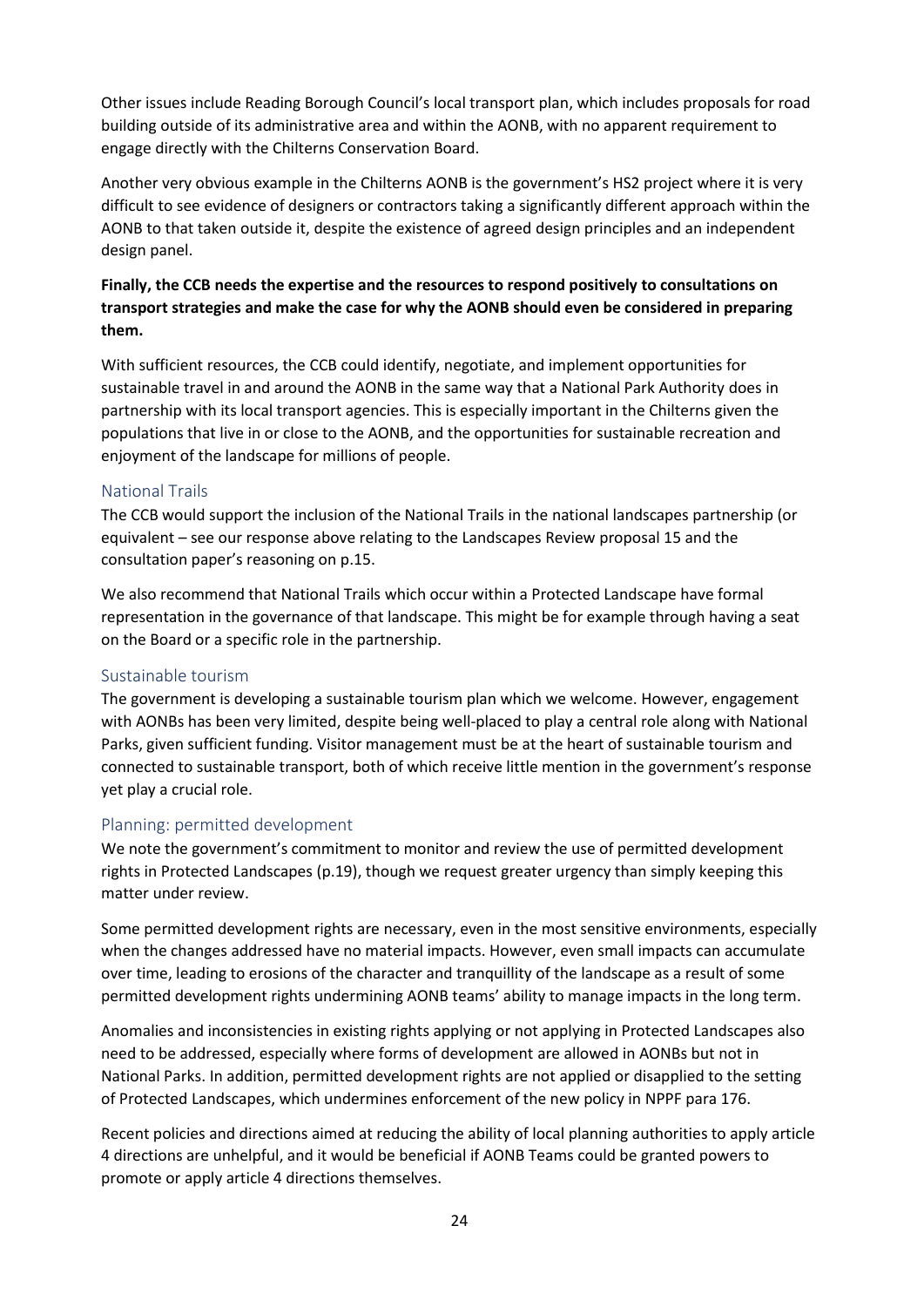Other issues include Reading Borough Council's local transport plan, which includes proposals for road building outside of its administrative area and within the AONB, with no apparent requirement to engage directly with the Chilterns Conservation Board.

Another very obvious example in the Chilterns AONB is the government's HS2 project where it is very difficult to see evidence of designers or contractors taking a significantly different approach within the AONB to that taken outside it, despite the existence of agreed design principles and an independent design panel.

### **Finally, the CCB needs the expertise and the resources to respond positively to consultations on transport strategies and make the case for why the AONB should even be considered in preparing them.**

With sufficient resources, the CCB could identify, negotiate, and implement opportunities for sustainable travel in and around the AONB in the same way that a National Park Authority does in partnership with its local transport agencies. This is especially important in the Chilterns given the populations that live in or close to the AONB, and the opportunities for sustainable recreation and enjoyment of the landscape for millions of people.

#### National Trails

The CCB would support the inclusion of the National Trails in the national landscapes partnership (or equivalent – see our response above relating to the Landscapes Review proposal 15 and the consultation paper's reasoning on p.15.

We also recommend that National Trails which occur within a Protected Landscape have formal representation in the governance of that landscape. This might be for example through having a seat on the Board or a specific role in the partnership.

#### Sustainable tourism

The government is developing a sustainable tourism plan which we welcome. However, engagement with AONBs has been very limited, despite being well-placed to play a central role along with National Parks, given sufficient funding. Visitor management must be at the heart of sustainable tourism and connected to sustainable transport, both of which receive little mention in the government's response yet play a crucial role.

#### Planning: permitted development

We note the government's commitment to monitor and review the use of permitted development rights in Protected Landscapes (p.19), though we request greater urgency than simply keeping this matter under review.

Some permitted development rights are necessary, even in the most sensitive environments, especially when the changes addressed have no material impacts. However, even small impacts can accumulate over time, leading to erosions of the character and tranquillity of the landscape as a result of some permitted development rights undermining AONB teams' ability to manage impacts in the long term.

Anomalies and inconsistencies in existing rights applying or not applying in Protected Landscapes also need to be addressed, especially where forms of development are allowed in AONBs but not in National Parks. In addition, permitted development rights are not applied or disapplied to the setting of Protected Landscapes, which undermines enforcement of the new policy in NPPF para 176.

Recent policies and directions aimed at reducing the ability of local planning authorities to apply article 4 directions are unhelpful, and it would be beneficial if AONB Teams could be granted powers to promote or apply article 4 directions themselves.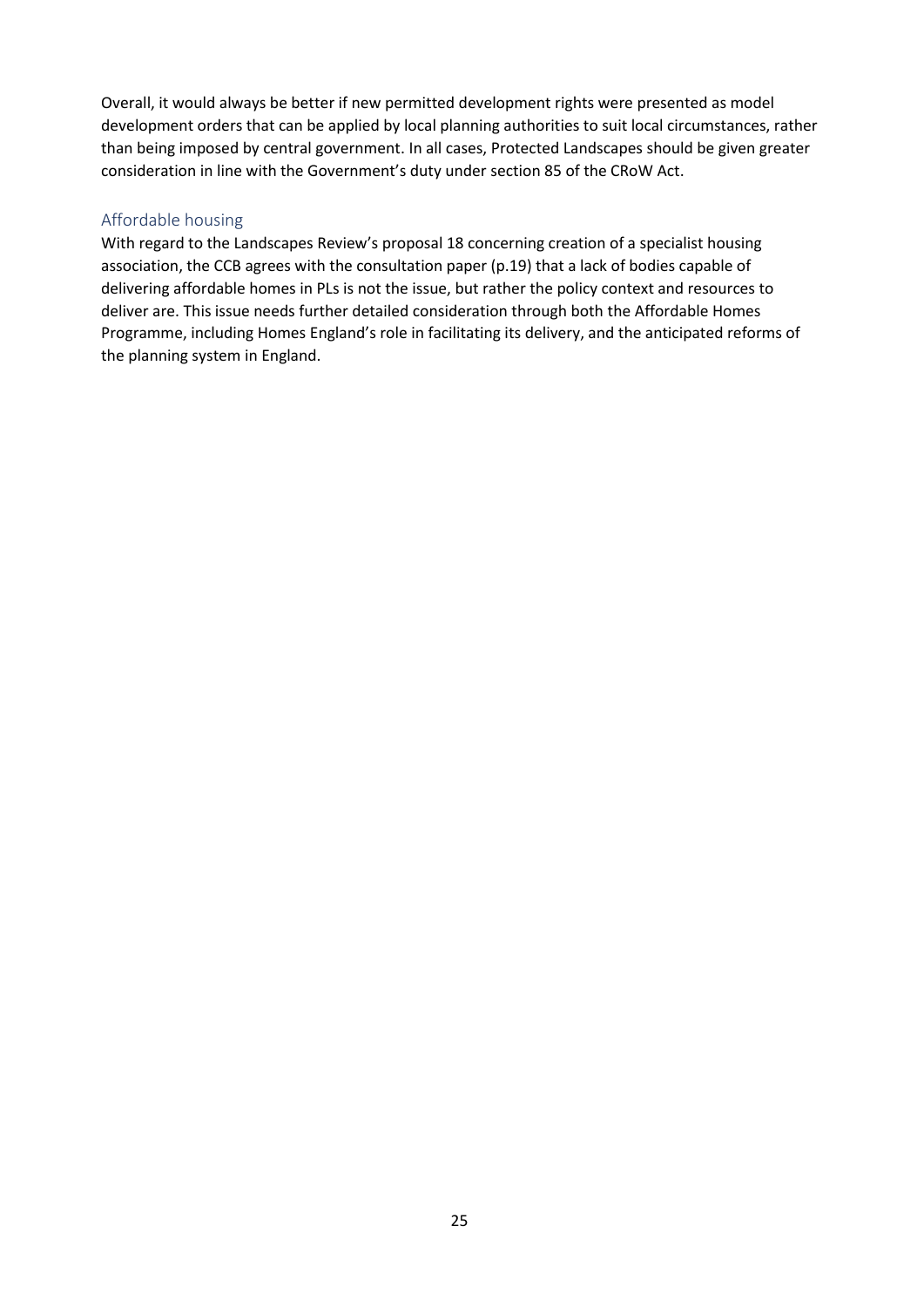Overall, it would always be better if new permitted development rights were presented as model development orders that can be applied by local planning authorities to suit local circumstances, rather than being imposed by central government. In all cases, Protected Landscapes should be given greater consideration in line with the Government's duty under section 85 of the CRoW Act.

#### Affordable housing

With regard to the Landscapes Review's proposal 18 concerning creation of a specialist housing association, the CCB agrees with the consultation paper (p.19) that a lack of bodies capable of delivering affordable homes in PLs is not the issue, but rather the policy context and resources to deliver are. This issue needs further detailed consideration through both the Affordable Homes Programme, including Homes England's role in facilitating its delivery, and the anticipated reforms of the planning system in England.